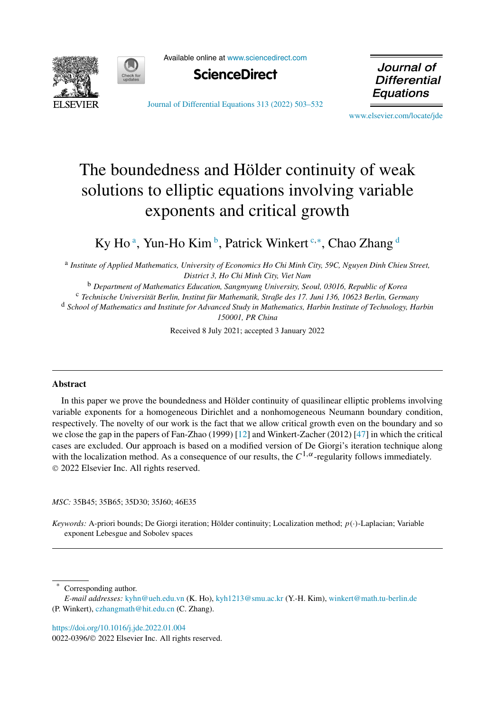



Available online at [www.sciencedirect.com](http://www.sciencedirect.com)



Journal of **Differential** Equations

[Journal of Differential Equations 313 \(2022\) 503–532](https://doi.org/10.1016/j.jde.2022.01.004)

[www.elsevier.com/locate/jde](http://www.elsevier.com/locate/jde)

# The boundedness and Hölder continuity of weak solutions to elliptic equations involving variable exponents and critical growth

Ky Ho<sup>a</sup>, Yun-Ho Kim<sup>b</sup>, Patrick Winkert<sup>c,∗</sup>, Chao Zhang<sup>d</sup>

<sup>a</sup> *Institute of Applied Mathematics, University of Economics Ho Chi Minh City, 59C, Nguyen Dinh Chieu Street, District 3, Ho Chi Minh City, Viet Nam*

<sup>b</sup> *Department of Mathematics Education, Sangmyung University, Seoul, 03016, Republic of Korea*

<sup>c</sup> *Technische Universität Berlin, Institut für Mathematik, Straße des 17. Juni 136, 10623 Berlin, Germany*

<sup>d</sup> *School of Mathematics and Institute for Advanced Study in Mathematics, Harbin Institute of Technology, Harbin 150001, PR China*

Received 8 July 2021; accepted 3 January 2022

#### **Abstract**

In this paper we prove the boundedness and Hölder continuity of quasilinear elliptic problems involving variable exponents for a homogeneous Dirichlet and a nonhomogeneous Neumann boundary condition, respectively. The novelty of our work is the fact that we allow critical growth even on the boundary and so we close the gap in the papers of Fan-Zhao (1999) [[12\]](#page-27-0) and Winkert-Zacher (2012) [[47\]](#page-29-0) in which the critical cases are excluded. Our approach is based on a modified version of De Giorgi's iteration technique along with the localization method. As a consequence of our results, the  $C^{1,\alpha}$ -regularity follows immediately. © 2022 Elsevier Inc. All rights reserved.

*MSC:* 35B45; 35B65; 35D30; 35J60; 46E35

*Keywords:* A-priori bounds; De Giorgi iteration; Hölder continuity; Localization method; *p(*·*)*-Laplacian; Variable exponent Lebesgue and Sobolev spaces

Corresponding author.

<https://doi.org/10.1016/j.jde.2022.01.004> 0022-0396/© 2022 Elsevier Inc. All rights reserved.

*E-mail addresses:* [kyhn@ueh.edu.vn](mailto:kyhn@ueh.edu.vn) (K. Ho), [kyh1213@smu.ac.kr](mailto:kyh1213@smu.ac.kr) (Y.-H. Kim), [winkert@math.tu-berlin.de](mailto:winkert@math.tu-berlin.de) (P. Winkert), [czhangmath@hit.edu.cn](mailto:czhangmath@hit.edu.cn) (C. Zhang).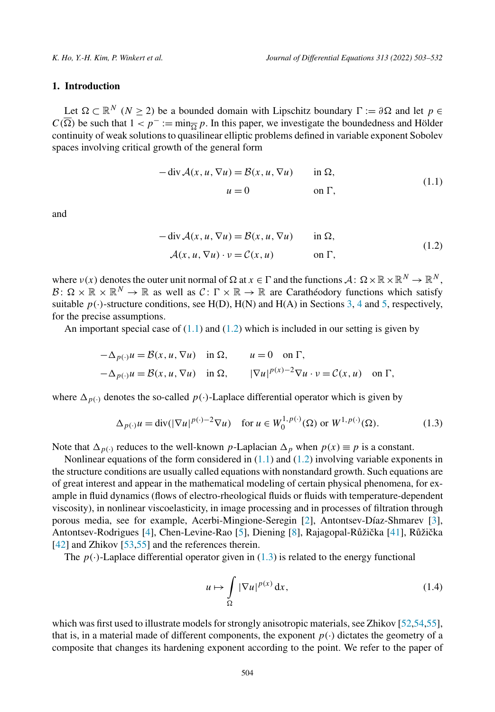# <span id="page-1-0"></span>**1. Introduction**

Let  $\Omega \subset \mathbb{R}^N$  (*N* ≥ 2) be a bounded domain with Lipschitz boundary  $\Gamma := \partial \Omega$  and let  $p \in$  $C(\overline{\Omega})$  be such that  $1 < p^- := \min_{\overline{\Omega}} p$ . In this paper, we investigate the boundedness and Hölder continuity of weak solutions to quasilinear elliptic problems defined in variable exponent Sobolev spaces involving critical growth of the general form

$$
- \operatorname{div} \mathcal{A}(x, u, \nabla u) = \mathcal{B}(x, u, \nabla u) \quad \text{in } \Omega,
$$
  

$$
u = 0 \quad \text{on } \Gamma,
$$
 (1.1)

and

$$
- \operatorname{div} \mathcal{A}(x, u, \nabla u) = \mathcal{B}(x, u, \nabla u) \quad \text{in } \Omega,
$$
  

$$
\mathcal{A}(x, u, \nabla u) \cdot v = \mathcal{C}(x, u) \quad \text{on } \Gamma,
$$
 (1.2)

where  $v(x)$  denotes the outer unit normal of  $\Omega$  at  $x \in \Gamma$  and the functions  $\mathcal{A}: \Omega \times \mathbb{R} \times \mathbb{R}^N \to \mathbb{R}^N$ ,  $\mathcal{B}: \Omega \times \mathbb{R} \times \mathbb{R}^N \to \mathbb{R}$  as well as  $\mathcal{C}: \Gamma \times \mathbb{R} \to \mathbb{R}$  are Carathéodory functions which satisfy suitable  $p(\cdot)$ -structure conditions, see H(D), H(N) and H(A) in Sections [3](#page-8-0), [4](#page-14-0) and [5,](#page-20-0) respectively, for the precise assumptions.

An important special case of  $(1.1)$  and  $(1.2)$  which is included in our setting is given by

$$
-\Delta_{p(\cdot)}u = \mathcal{B}(x, u, \nabla u) \quad \text{in } \Omega, \qquad u = 0 \quad \text{on } \Gamma,
$$
  

$$
-\Delta_{p(\cdot)}u = \mathcal{B}(x, u, \nabla u) \quad \text{in } \Omega, \qquad |\nabla u|^{p(x)-2}\nabla u \cdot v = \mathcal{C}(x, u) \quad \text{on } \Gamma,
$$

where  $\Delta_{p(\cdot)}$  denotes the so-called  $p(\cdot)$ -Laplace differential operator which is given by

$$
\Delta_{p(\cdot)} u = \operatorname{div}(|\nabla u|^{p(\cdot)-2} \nabla u) \quad \text{for } u \in W_0^{1, p(\cdot)}(\Omega) \text{ or } W^{1, p(\cdot)}(\Omega). \tag{1.3}
$$

Note that  $\Delta_{p(\cdot)}$  reduces to the well-known *p*-Laplacian  $\Delta_p$  when  $p(x) \equiv p$  is a constant.

Nonlinear equations of the form considered in  $(1.1)$  and  $(1.2)$  involving variable exponents in the structure conditions are usually called equations with nonstandard growth. Such equations are of great interest and appear in the mathematical modeling of certain physical phenomena, for example in fluid dynamics (flows of electro-rheological fluids or fluids with temperature-dependent viscosity), in nonlinear viscoelasticity, in image processing and in processes of filtration through porous media, see for example, Acerbi-Mingione-Seregin [[2\]](#page-27-0), Antontsev-Díaz-Shmarev [\[3](#page-27-0)], Antontsev-Rodrigues [[4\]](#page-27-0), Chen-Levine-Rao [\[5](#page-27-0)], Diening [\[8](#page-27-0)], Rajagopal-Růžička [[41\]](#page-28-0), Růžička [[42\]](#page-28-0) and Zhikov [[53,55](#page-29-0)] and the references therein.

The  $p(\cdot)$ -Laplace differential operator given in (1.3) is related to the energy functional

$$
u \mapsto \int\limits_{\Omega} |\nabla u|^{p(x)} \, \mathrm{d}x,\tag{1.4}
$$

which was first used to illustrate models for strongly anisotropic materials, see Zhikov  $[52,54,55]$  $[52,54,55]$ , that is, in a material made of different components, the exponent  $p(\cdot)$  dictates the geometry of a composite that changes its hardening exponent according to the point. We refer to the paper of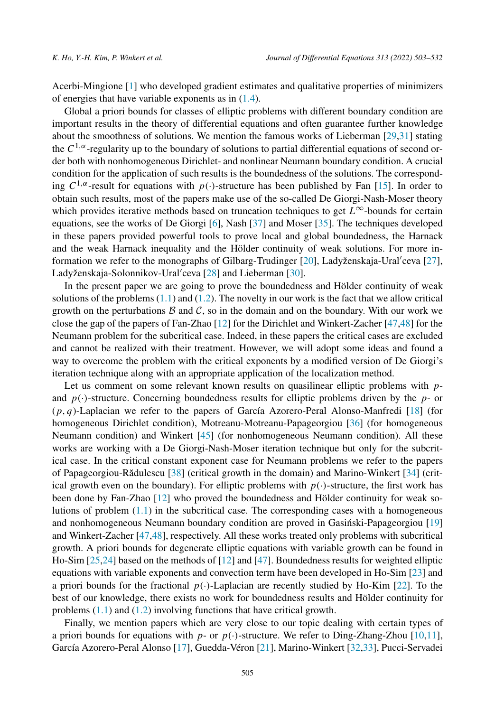Acerbi-Mingione [[1\]](#page-27-0) who developed gradient estimates and qualitative properties of minimizers of energies that have variable exponents as in ([1.4](#page-1-0)).

Global a priori bounds for classes of elliptic problems with different boundary condition are important results in the theory of differential equations and often guarantee further knowledge about the smoothness of solutions. We mention the famous works of Lieberman [\[29,31](#page-28-0)] stating the  $C^{1,\alpha}$ -regularity up to the boundary of solutions to partial differential equations of second order both with nonhomogeneous Dirichlet- and nonlinear Neumann boundary condition. A crucial condition for the application of such results is the boundedness of the solutions. The corresponding  $C^{1,\alpha}$ -result for equations with *p(·*)-structure has been published by Fan [[15\]](#page-27-0). In order to obtain such results, most of the papers make use of the so-called De Giorgi-Nash-Moser theory which provides iterative methods based on truncation techniques to get *L*∞-bounds for certain equations, see the works of De Giorgi [\[6](#page-27-0)], Nash [\[37\]](#page-28-0) and Moser [\[35](#page-28-0)]. The techniques developed in these papers provided powerful tools to prove local and global boundedness, the Harnack and the weak Harnack inequality and the Hölder continuity of weak solutions. For more in-formation we refer to the monographs of Gilbarg-Trudinger [\[20\]](#page-28-0), Ladyženskaja-Ural'ceva [\[27](#page-28-0)], Ladyženskaja-Solonnikov-Ural'ceva [[28\]](#page-28-0) and Lieberman [\[30](#page-28-0)].

In the present paper we are going to prove the boundedness and Hölder continuity of weak solutions of the problems  $(1.1)$  $(1.1)$  $(1.1)$  and  $(1.2)$ . The novelty in our work is the fact that we allow critical growth on the perturbations  $B$  and  $C$ , so in the domain and on the boundary. With our work we close the gap of the papers of Fan-Zhao [\[12](#page-27-0)] for the Dirichlet and Winkert-Zacher [\[47,48\]](#page-29-0) for the Neumann problem for the subcritical case. Indeed, in these papers the critical cases are excluded and cannot be realized with their treatment. However, we will adopt some ideas and found a way to overcome the problem with the critical exponents by a modified version of De Giorgi's iteration technique along with an appropriate application of the localization method.

Let us comment on some relevant known results on quasilinear elliptic problems with *p*and *p(*·*)*-structure. Concerning boundedness results for elliptic problems driven by the *p*- or (*p, q*)-Laplacian we refer to the papers of García Azorero-Peral Alonso-Manfredi [[18\]](#page-28-0) (for homogeneous Dirichlet condition), Motreanu-Motreanu-Papageorgiou [\[36\]](#page-28-0) (for homogeneous Neumann condition) and Winkert [[45\]](#page-28-0) (for nonhomogeneous Neumann condition). All these works are working with a De Giorgi-Nash-Moser iteration technique but only for the subcritical case. In the critical constant exponent case for Neumann problems we refer to the papers of Papageorgiou-Rădulescu [\[38](#page-28-0)] (critical growth in the domain) and Marino-Winkert [\[34](#page-28-0)] (critical growth even on the boundary). For elliptic problems with  $p(\cdot)$ -structure, the first work has been done by Fan-Zhao [\[12](#page-27-0)] who proved the boundedness and Hölder continuity for weak solutions of problem  $(1.1)$  in the subcritical case. The corresponding cases with a homogeneous and nonhomogeneous Neumann boundary condition are proved in Gasiński-Papageorgiou [\[19\]](#page-28-0) and Winkert-Zacher [\[47,48](#page-29-0)], respectively. All these works treated only problems with subcritical growth. A priori bounds for degenerate elliptic equations with variable growth can be found in Ho-Sim [[25,24](#page-28-0)] based on the methods of [\[12](#page-27-0)] and [[47\]](#page-29-0). Boundedness results for weighted elliptic equations with variable exponents and convection term have been developed in Ho-Sim [\[23](#page-28-0)] and a priori bounds for the fractional  $p(\cdot)$ -Laplacian are recently studied by Ho-Kim [\[22](#page-28-0)]. To the best of our knowledge, there exists no work for boundedness results and Hölder continuity for problems [\(1.1\)](#page-1-0) and ([1.2](#page-1-0)) involving functions that have critical growth.

Finally, we mention papers which are very close to our topic dealing with certain types of a priori bounds for equations with *p*- or  $p(\cdot)$ -structure. We refer to Ding-Zhang-Zhou [[10,11](#page-27-0)], García Azorero-Peral Alonso [\[17\]](#page-28-0), Guedda-Véron [\[21](#page-28-0)], Marino-Winkert [[32,33](#page-28-0)], Pucci-Servadei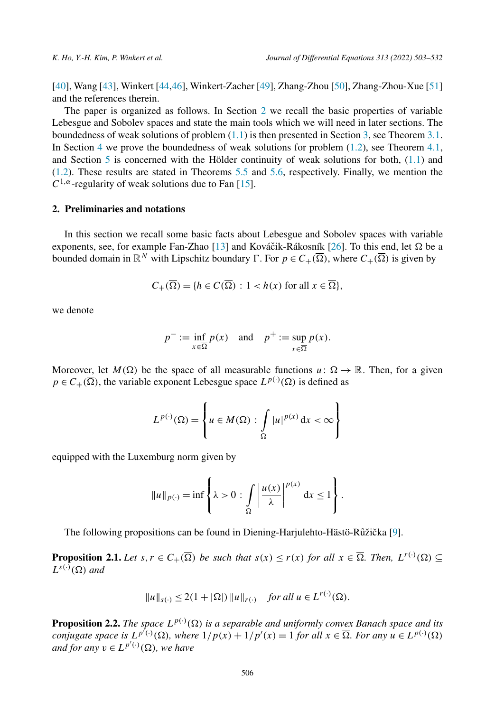[[40\]](#page-28-0), Wang [\[43](#page-28-0)], Winkert [\[44](#page-28-0),[46\]](#page-29-0), Winkert-Zacher [\[49](#page-29-0)], Zhang-Zhou [\[50\]](#page-29-0), Zhang-Zhou-Xue [[51\]](#page-29-0) and the references therein.

The paper is organized as follows. In Section 2 we recall the basic properties of variable Lebesgue and Sobolev spaces and state the main tools which we will need in later sections. The boundedness of weak solutions of problem [\(1.1\)](#page-1-0) is then presented in Section [3](#page-8-0), see Theorem [3.1.](#page-8-0) In Section [4](#page-14-0) we prove the boundedness of weak solutions for problem [\(1.2\)](#page-1-0), see Theorem [4.1,](#page-15-0) and Section [5](#page-20-0) is concerned with the Hölder continuity of weak solutions for both, [\(1.1\)](#page-1-0) and ([1.2](#page-1-0)). These results are stated in Theorems [5.5](#page-27-0) and [5.6,](#page-27-0) respectively. Finally, we mention the  $C^{1,\alpha}$ -regularity of weak solutions due to Fan [[15\]](#page-27-0).

## **2. Preliminaries and notations**

In this section we recall some basic facts about Lebesgue and Sobolev spaces with variable exponents, see, for example Fan-Zhao [\[13](#page-27-0)] and Kováčik-Rákosník [[26\]](#page-28-0). To this end, let  $\Omega$  be a bounded domain in  $\mathbb{R}^N$  with Lipschitz boundary  $\Gamma$ . For  $p \in C_+(\overline{\Omega})$ , where  $C_+(\overline{\Omega})$  is given by

$$
C_{+}(\overline{\Omega}) = \{ h \in C(\overline{\Omega}) : 1 < h(x) \text{ for all } x \in \overline{\Omega} \},
$$

we denote

$$
p^- := \inf_{x \in \overline{\Omega}} p(x)
$$
 and  $p^+ := \sup_{x \in \overline{\Omega}} p(x)$ .

Moreover, let  $M(\Omega)$  be the space of all measurable functions  $u: \Omega \to \mathbb{R}$ . Then, for a given  $p \in C_+(\overline{\Omega})$ , the variable exponent Lebesgue space  $L^{p(\cdot)}(\Omega)$  is defined as

$$
L^{p(\cdot)}(\Omega) = \left\{ u \in M(\Omega) : \int\limits_{\Omega} |u|^{p(x)} dx < \infty \right\}
$$

equipped with the Luxemburg norm given by

$$
||u||_{p(\cdot)} = \inf \left\{ \lambda > 0 : \int_{\Omega} \left| \frac{u(x)}{\lambda} \right|^{p(x)} dx \le 1 \right\}.
$$

The following propositions can be found in Diening-Harjulehto-Hästö-Růžička [\[9\]](#page-27-0).

**Proposition 2.1.** Let  $s, r \in C_+(\overline{\Omega})$  be such that  $s(x) \le r(x)$  for all  $x \in \overline{\Omega}$ . Then,  $L^{r(\cdot)}(\Omega) \subseteq$  $L^{s(\cdot)}(\Omega)$  *and* 

$$
||u||_{s(\cdot)} \le 2(1+|\Omega|) ||u||_{r(\cdot)} \quad \text{for all } u \in L^{r(\cdot)}(\Omega).
$$

**Proposition 2.2.** The space  $L^{p(\cdot)}(\Omega)$  is a separable and uniformly convex Banach space and its conjugate space is  $L^{p'(\cdot)}(\Omega)$ , where  $1/p(x) + 1/p'(x) = 1$  for all  $x \in \overline{\Omega}$ . For any  $u \in L^{p(\cdot)}(\Omega)$  $\overline{a}$  *and*  $\overline{a}$  *for any*  $v \in L^{p'(\cdot)}(\Omega)$ *, we have*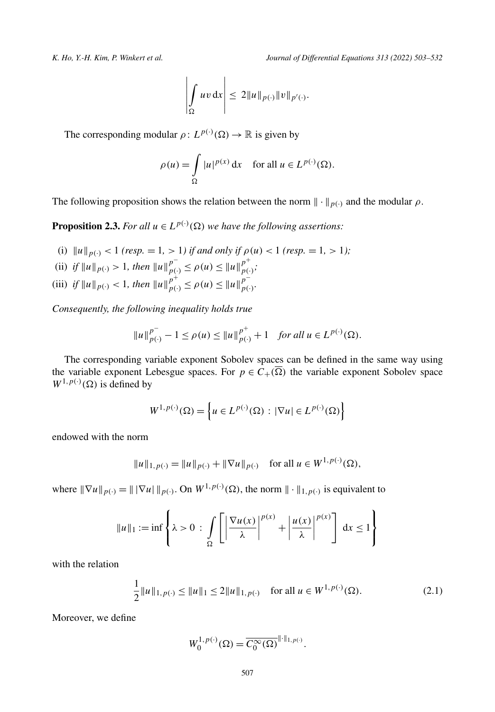$$
\left|\int_{\Omega} uv \,dx\right| \leq 2||u||_{p(\cdot)}||v||_{p'(\cdot)}.
$$

<span id="page-4-0"></span>The corresponding modular  $\rho: L^{p(\cdot)}(\Omega) \to \mathbb{R}$  is given by

 $\mathbf{r}$ 

$$
\rho(u) = \int_{\Omega} |u|^{p(x)} dx \quad \text{for all } u \in L^{p(\cdot)}(\Omega).
$$

The following proposition shows the relation between the norm  $\|\cdot\|_{p(\cdot)}$  and the modular  $\rho$ .

**Proposition 2.3.** For all  $u \in L^{p(\cdot)}(\Omega)$  we have the following assertions:

- (i)  $||u||_{p(\cdot)} < 1$  (resp. = 1, > 1) *if and only if*  $\rho(u) < 1$  (resp. = 1, > 1);
- (ii) if  $||u||_{p(\cdot)} > 1$ , then  $||u||_{p(\cdot)}^{p^-} \leq \rho(u) \leq ||u||_{p(\cdot)}^{p^+}$ ;
- (iii) *if*  $||u||_{p(\cdot)} < 1$ , *then*  $||u||_{p(\cdot)}^{p^+} \leq \rho(u) \leq ||u||_{p(\cdot)}^{p^-}$ .

*Consequently, the following inequality holds true*

$$
||u||_{p(\cdot)}^{p^-} - 1 \le \rho(u) \le ||u||_{p(\cdot)}^{p^+} + 1 \quad \text{for all } u \in L^{p(\cdot)}(\Omega).
$$

The corresponding variable exponent Sobolev spaces can be defined in the same way using the variable exponent Lebesgue spaces. For  $p \in C_+(\overline{\Omega})$  the variable exponent Sobolev space  $W^{1,p(\cdot)}(\Omega)$  is defined by

$$
W^{1,p(\cdot)}(\Omega) = \left\{ u \in L^{p(\cdot)}(\Omega) : |\nabla u| \in L^{p(\cdot)}(\Omega) \right\}
$$

endowed with the norm

$$
||u||_{1,p(\cdot)} = ||u||_{p(\cdot)} + ||\nabla u||_{p(\cdot)} \quad \text{for all } u \in W^{1,p(\cdot)}(\Omega),
$$

where  $\|\nabla u\|_{p(\cdot)} = \|\nabla u\|_{p(\cdot)}$ . On  $W^{1,p(\cdot)}(\Omega)$ , the norm  $\|\cdot\|_{1,p(\cdot)}$  is equivalent to

$$
||u||_1 := \inf \left\{ \lambda > 0 \, : \, \int_{\Omega} \left[ \left| \frac{\nabla u(x)}{\lambda} \right|^{p(x)} + \left| \frac{u(x)}{\lambda} \right|^{p(x)} \right] \, dx \le 1 \right\}
$$

with the relation

$$
\frac{1}{2}||u||_{1,p(\cdot)} \le ||u||_1 \le 2||u||_{1,p(\cdot)} \quad \text{for all } u \in W^{1,p(\cdot)}(\Omega). \tag{2.1}
$$

Moreover, we define

$$
W_0^{1,p(\cdot)}(\Omega) = \overline{C_0^{\infty}(\Omega)}^{\|\cdot\|_{1,p(\cdot)}}.
$$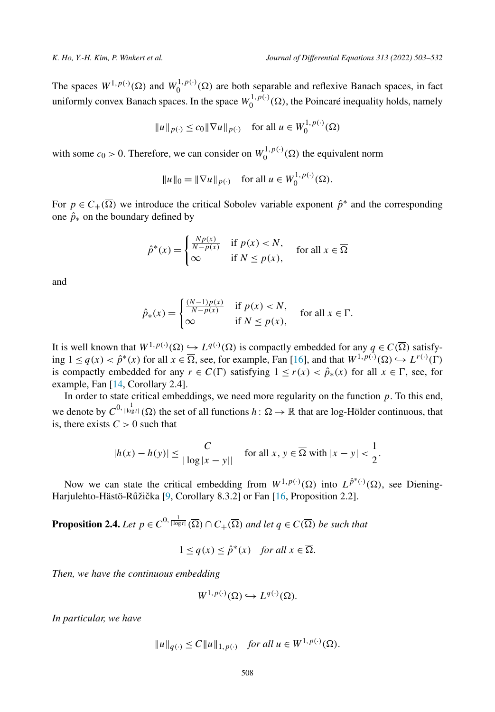<span id="page-5-0"></span>The spaces  $W^{1,p(\cdot)}(\Omega)$  and  $W_0^{1,p(\cdot)}(\Omega)$  are both separable and reflexive Banach spaces, in fact uniformly convex Banach spaces. In the space  $W_0^{1,p(\cdot)}(\Omega)$ , the Poincaré inequality holds, namely

$$
||u||_{p(\cdot)} \le c_0 ||\nabla u||_{p(\cdot)}
$$
 for all  $u \in W_0^{1,p(\cdot)}(\Omega)$ 

with some  $c_0 > 0$ . Therefore, we can consider on  $W_0^{1,p(\cdot)}(\Omega)$  the equivalent norm

$$
||u||_0 = ||\nabla u||_{p(\cdot)}
$$
 for all  $u \in W_0^{1, p(\cdot)}(\Omega)$ .

For  $p \in C_+(\overline{\Omega})$  we introduce the critical Sobolev variable exponent  $\hat{p}^*$  and the corresponding one  $\hat{p}_*$  on the boundary defined by

$$
\hat{p}^*(x) = \begin{cases}\n\frac{Np(x)}{N-p(x)} & \text{if } p(x) < N, \\
\infty & \text{if } N \le p(x),\n\end{cases} \text{ for all } x \in \overline{\Omega}
$$

and

$$
\hat{p}_*(x) = \begin{cases}\n\frac{(N-1)p(x)}{N-p(x)} & \text{if } p(x) < N, \\
\infty & \text{if } N \le p(x),\n\end{cases} \quad \text{for all } x \in \Gamma.
$$

It is well known that  $W^{1,p(\cdot)}(\Omega) \hookrightarrow L^{q(\cdot)}(\Omega)$  is compactly embedded for any  $q \in C(\overline{\Omega})$  satisfying 1 ≤ *q*(*x*) <  $\hat{p}^*(x)$  for all  $x \in \overline{\Omega}$ , see, for example, Fan [[16\]](#page-28-0), and that  $W^{1,p(\cdot)}(\Omega) \hookrightarrow L^{r(\cdot)}(\Gamma)$ is compactly embedded for any  $r \in C(\Gamma)$  satisfying  $1 \le r(x) < \hat{p}_*(x)$  for all  $x \in \Gamma$ , see, for example, Fan [[14,](#page-27-0) Corollary 2.4].

In order to state critical embeddings, we need more regularity on the function *p*. To this end, we denote by  $C^{0, \frac{1}{|\log t|}}(\overline{\Omega})$  the set of all functions  $h: \overline{\Omega} \to \mathbb{R}$  that are log-Hölder continuous, that is, there exists  $C > 0$  such that

$$
|h(x) - h(y)| \le \frac{C}{|\log|x - y||} \quad \text{for all } x, y \in \overline{\Omega} \text{ with } |x - y| < \frac{1}{2}.
$$

Now we can state the critical embedding from  $W^{1,p(\cdot)}(\Omega)$  into  $L^{\hat{p}^*(\cdot)}(\Omega)$ , see Diening-Harjulehto-Hästö-Růžička [\[9,](#page-27-0) Corollary 8.3.2] or Fan [\[16](#page-28-0), Proposition 2.2].

**Proposition 2.4.** *Let*  $p \in C^{0, \frac{1}{|\log t|}}(\overline{\Omega}) \cap C_{+}(\overline{\Omega})$  *and let*  $q \in C(\overline{\Omega})$  *be such that* 

 $1 \leq q(x) \leq \hat{p}^*(x)$  *for all*  $x \in \overline{\Omega}$ *.* 

*Then, we have the continuous embedding*

$$
W^{1,p(\cdot)}(\Omega) \hookrightarrow L^{q(\cdot)}(\Omega).
$$

*In particular, we have*

$$
||u||_{q(\cdot)} \le C||u||_{1,p(\cdot)} \quad \text{for all } u \in W^{1,p(\cdot)}(\Omega).
$$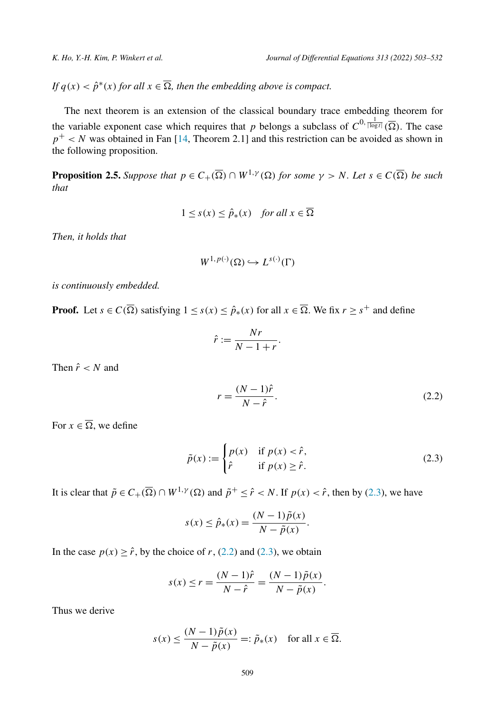<span id="page-6-0"></span>*If*  $q(x) < \hat{p}^*(x)$  *for all*  $x \in \overline{\Omega}$ *, then the embedding above is compact.* 

The next theorem is an extension of the classical boundary trace embedding theorem for the variable exponent case which requires that *p* belongs a subclass of  $C^{0, \frac{1}{|\log t|}}(\overline{\Omega})$ . The case  $p^+ < N$  was obtained in Fan [\[14](#page-27-0), Theorem 2.1] and this restriction can be avoided as shown in the following proposition.

**Proposition 2.5.** Suppose that  $p \in C_+(\overline{\Omega}) \cap W^{1,\gamma}(\Omega)$  for some  $\gamma > N$ . Let  $s \in C(\overline{\Omega})$  be such *that*

$$
1 \le s(x) \le \hat{p}_*(x) \quad \text{for all } x \in \overline{\Omega}
$$

*Then, it holds that*

$$
W^{1,p(\cdot)}(\Omega) \hookrightarrow L^{s(\cdot)}(\Gamma)
$$

*is continuously embedded.*

**Proof.** Let  $s \in C(\overline{\Omega})$  satisfying  $1 \leq s(x) \leq \hat{p}_*(x)$  for all  $x \in \overline{\Omega}$ . We fix  $r \geq s^+$  and define

$$
\hat{r} := \frac{Nr}{N-1+r}.
$$

Then  $\hat{r}$  < *N* and

$$
r = \frac{(N-1)\hat{r}}{N-\hat{r}}.\tag{2.2}
$$

For  $x \in \overline{\Omega}$ , we define

$$
\tilde{p}(x) := \begin{cases} p(x) & \text{if } p(x) < \hat{r}, \\ \hat{r} & \text{if } p(x) \ge \hat{r}. \end{cases}
$$
\n(2.3)

It is clear that  $\tilde{p} \in C_+(\overline{\Omega}) \cap W^{1,\gamma}(\Omega)$  and  $\tilde{p}^+ \leq \hat{r} < N$ . If  $p(x) < \hat{r}$ , then by (2.3), we have

$$
s(x) \leq \hat{p}_*(x) = \frac{(N-1)\tilde{p}(x)}{N-\tilde{p}(x)}.
$$

In the case  $p(x) \geq \hat{r}$ , by the choice of *r*, (2.2) and (2.3), we obtain

$$
s(x) \le r = \frac{(N-1)\hat{r}}{N-\hat{r}} = \frac{(N-1)\tilde{p}(x)}{N-\tilde{p}(x)}.
$$

Thus we derive

$$
s(x) \le \frac{(N-1)\tilde{p}(x)}{N-\tilde{p}(x)} =: \tilde{p}_*(x) \quad \text{for all } x \in \overline{\Omega}.
$$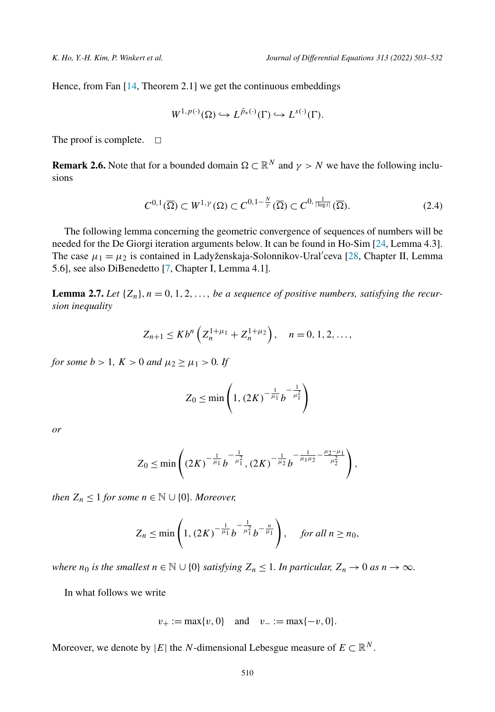<span id="page-7-0"></span>Hence, from Fan [\[14,](#page-27-0) Theorem 2.1] we get the continuous embeddings

$$
W^{1,p(\cdot)}(\Omega) \hookrightarrow L^{\tilde{p}_*(\cdot)}(\Gamma) \hookrightarrow L^{s(\cdot)}(\Gamma).
$$

The proof is complete.  $\Box$ 

**Remark 2.6.** Note that for a bounded domain  $\Omega \subset \mathbb{R}^N$  and  $\gamma > N$  we have the following inclusions

$$
C^{0,1}(\overline{\Omega}) \subset W^{1,\gamma}(\Omega) \subset C^{0,1-\frac{N}{\gamma}}(\overline{\Omega}) \subset C^{0,\frac{1}{|\log t|}}(\overline{\Omega}).
$$
\n(2.4)

The following lemma concerning the geometric convergence of sequences of numbers will be needed for the De Giorgi iteration arguments below. It can be found in Ho-Sim [[24,](#page-28-0) Lemma 4.3]. The case  $\mu_1 = \mu_2$  is contained in Ladyženskaja-Solonnikov-Ural'ceva [[28,](#page-28-0) Chapter II, Lemma 5.6], see also DiBenedetto [\[7](#page-27-0), Chapter I, Lemma 4.1].

**Lemma 2.7.** Let  $\{Z_n\}$ ,  $n = 0, 1, 2, \ldots$ , be a sequence of positive numbers, satisfying the recur*sion inequality*

$$
Z_{n+1} \leq K b^{n} \left( Z_{n}^{1+\mu_{1}} + Z_{n}^{1+\mu_{2}} \right), \quad n = 0, 1, 2, \ldots,
$$

*for some*  $b > 1$ *,*  $K > 0$  *and*  $\mu_2 \ge \mu_1 > 0$ *.* If

$$
Z_0 \le \min\left(1, (2K)^{-\frac{1}{\mu_1}} b^{-\frac{1}{\mu_1^2}}\right)
$$

*or*

$$
Z_0 \leq \min\left( \left(2K\right)^{-\frac{1}{\mu_1}} b^{-\frac{1}{\mu_1^2}}, \left(2K\right)^{-\frac{1}{\mu_2}} b^{-\frac{1}{\mu_1 \mu_2} - \frac{\mu_2 - \mu_1}{\mu_2^2}} \right),
$$

*then*  $Z_n \leq 1$  *for some*  $n \in \mathbb{N} \cup \{0\}$ *. Moreover,* 

$$
Z_n \le \min\left(1, \left(2K\right)^{-\frac{1}{\mu_1}} b^{-\frac{1}{\mu_1^2}} b^{-\frac{n}{\mu_1}} \right), \quad \text{ for all } n \ge n_0,
$$

*where n*<sub>0</sub> *is the smallest*  $n \in \mathbb{N} \cup \{0\}$  *satisfying*  $Z_n \leq 1$ *. In particular,*  $Z_n \to 0$  *as*  $n \to \infty$ *.* 

In what follows we write

$$
v_+ := \max\{v, 0\}
$$
 and  $v_- := \max\{-v, 0\}.$ 

Moreover, we denote by  $|E|$  the *N*-dimensional Lebesgue measure of  $E \subset \mathbb{R}^N$ .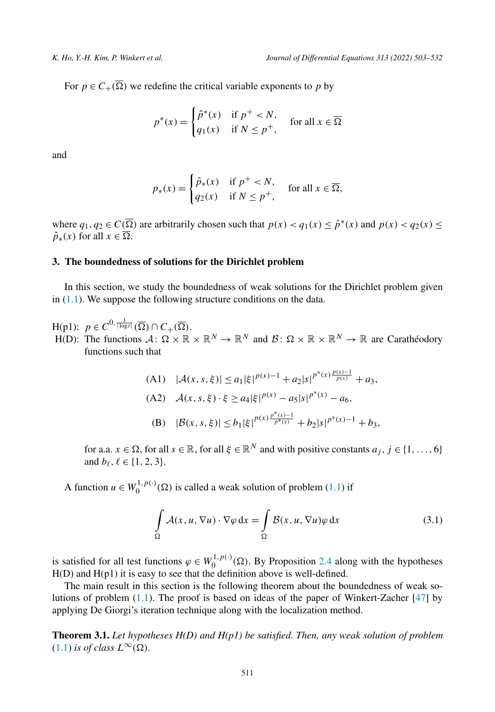<span id="page-8-0"></span>For  $p \in C_+(\overline{\Omega})$  we redefine the critical variable exponents to p by

$$
p^*(x) = \begin{cases} \hat{p}^*(x) & \text{if } p^+ < N, \\ q_1(x) & \text{if } N \le p^+, \end{cases} \quad \text{for all } x \in \overline{\Omega}
$$

and

$$
p_*(x) = \begin{cases} \hat{p}_*(x) & \text{if } p^+ < N, \\ q_2(x) & \text{if } N \le p^+, \end{cases}
$$
 for all  $x \in \overline{\Omega}$ ,

where  $q_1, q_2 \in C(\overline{\Omega})$  are arbitrarily chosen such that  $p(x) < q_1(x) \leq \hat{p}^*(x)$  and  $p(x) < q_2(x) \leq$  $\hat{p}_*(x)$  for all  $x \in \overline{\Omega}$ .

## **3. The boundedness of solutions for the Dirichlet problem**

In this section, we study the boundedness of weak solutions for the Dirichlet problem given in [\(1.1\)](#page-1-0). We suppose the following structure conditions on the data.

- $H(p1): p \in C^{0, \frac{1}{|\log t|}}(\overline{\Omega}) \cap C_{+}(\overline{\Omega}).$
- $H(D)$ : The functions  $\mathcal{A}: \Omega \times \mathbb{R} \times \mathbb{R}^N \to \mathbb{R}^N$  and  $\mathcal{B}: \Omega \times \mathbb{R} \times \mathbb{R}^N \to \mathbb{R}$  are Carathéodory functions such that

(A1) 
$$
|\mathcal{A}(x, s, \xi)| \le a_1 |\xi|^{p(x)-1} + a_2 |s|^{p^*(x)} \frac{p(x)-1}{p(x)} + a_3,
$$
  
(A2) 
$$
\mathcal{A}(x, s, \xi) \cdot \xi \ge a_4 |\xi|^{p(x)} - a_5 |s|^{p^*(x)} - a_6,
$$
  
(B) 
$$
|\mathcal{B}(x, s, \xi)| \le b_1 |\xi|^{p(x)} \frac{p^*(x)-1}{p^*(x)} + b_2 |s|^{p^*(x)-1} + b_3,
$$

for a.a.  $x \in \Omega$ , for all  $s \in \mathbb{R}$ , for all  $\xi \in \mathbb{R}^N$  and with positive constants  $a_j, j \in \{1, \ldots, 6\}$ and  $b_{\ell}$ ,  $\ell \in \{1, 2, 3\}$ .

A function  $u \in W_0^{1,p(\cdot)}(\Omega)$  is called a weak solution of problem [\(1.1\)](#page-1-0) if

$$
\int_{\Omega} \mathcal{A}(x, u, \nabla u) \cdot \nabla \varphi \, dx = \int_{\Omega} \mathcal{B}(x, u, \nabla u) \varphi \, dx \tag{3.1}
$$

is satisfied for all test functions  $\varphi \in W_0^{1,p(\cdot)}(\Omega)$ . By Proposition [2.4](#page-5-0) along with the hypotheses H(D) and H(p1) it is easy to see that the definition above is well-defined.

The main result in this section is the following theorem about the boundedness of weak solutions of problem ([1.1](#page-1-0)). The proof is based on ideas of the paper of Winkert-Zacher [\[47\]](#page-29-0) by applying De Giorgi's iteration technique along with the localization method.

**Theorem 3.1.** *Let hypotheses H(D) and H(p1) be satisfied. Then, any weak solution of problem*  $(1.1)$  $(1.1)$  $(1.1)$  *is of class*  $L^{\infty}(\Omega)$ *.*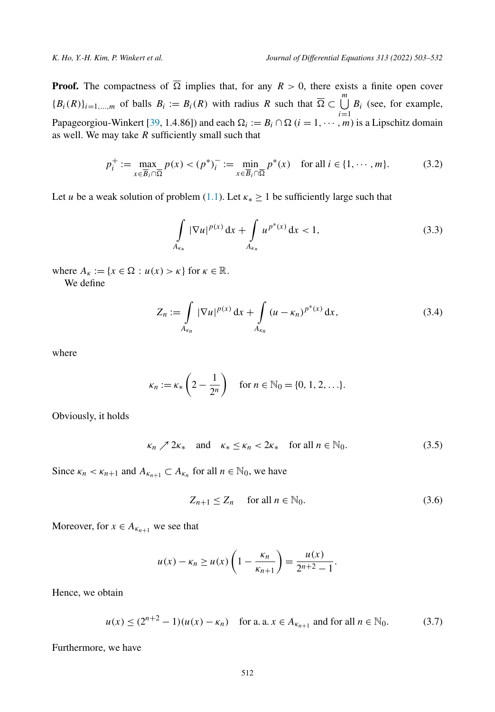<span id="page-9-0"></span>**Proof.** The compactness of  $\overline{\Omega}$  implies that, for any  $R > 0$ , there exists a finite open cover  ${B_i(R)}_{i=1,\dots,m}$  of balls  $B_i := B_i(R)$  with radius  $R$  such that  $\overline{\Omega} \subset \bigcup_{i=1}^m B_i$  (see, for example, Papageorgiou-Winkert [\[39](#page-28-0), 1.4.86]) and each  $\Omega_i := B_i \cap \Omega$  ( $i = 1, \dots, m$ ) is a Lipschitz domain as well. We may take *R* sufficiently small such that

$$
p_i^+ := \max_{x \in \overline{B}_i \cap \overline{\Omega}} p(x) < (p^*)_i^- := \min_{x \in \overline{B}_i \cap \overline{\Omega}} p^*(x) \quad \text{for all } i \in \{1, \cdots, m\}. \tag{3.2}
$$

Let *u* be a weak solution of problem [\(1.1\)](#page-1-0). Let  $\kappa_* > 1$  be sufficiently large such that

$$
\int_{A_{\kappa_*}} |\nabla u|^{p(x)} \, \mathrm{d}x + \int_{A_{\kappa_*}} u^{p^*(x)} \, \mathrm{d}x < 1,\tag{3.3}
$$

where  $A_{\kappa} := \{x \in \Omega : u(x) > \kappa\}$  for  $\kappa \in \mathbb{R}$ .

We define

$$
Z_n := \int\limits_{A_{\kappa_n}} |\nabla u|^{p(x)} dx + \int\limits_{A_{\kappa_n}} (u - \kappa_n)^{p^*(x)} dx,
$$
 (3.4)

where

$$
\kappa_n := \kappa_* \left( 2 - \frac{1}{2^n} \right) \quad \text{for } n \in \mathbb{N}_0 = \{0, 1, 2, \ldots\}.
$$

Obviously, it holds

$$
\kappa_n \nearrow 2\kappa_* \quad \text{and} \quad \kappa_* \le \kappa_n < 2\kappa_* \quad \text{for all } n \in \mathbb{N}_0. \tag{3.5}
$$

Since  $\kappa_n < \kappa_{n+1}$  and  $A_{\kappa_{n+1}} \subset A_{\kappa_n}$  for all  $n \in \mathbb{N}_0$ , we have

$$
Z_{n+1} \le Z_n \quad \text{ for all } n \in \mathbb{N}_0. \tag{3.6}
$$

Moreover, for  $x \in A_{\kappa_{n+1}}$  we see that

$$
u(x) - \kappa_n \ge u(x) \left( 1 - \frac{\kappa_n}{\kappa_{n+1}} \right) = \frac{u(x)}{2^{n+2} - 1}.
$$

Hence, we obtain

$$
u(x) \le (2^{n+2} - 1)(u(x) - \kappa_n)
$$
 for a. a.  $x \in A_{\kappa_{n+1}}$  and for all  $n \in \mathbb{N}_0$ . (3.7)

Furthermore, we have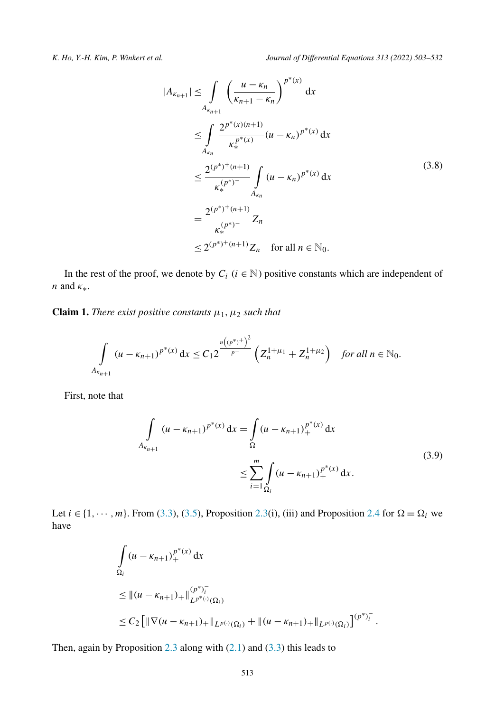<span id="page-10-0"></span>

$$
|A_{\kappa_{n+1}}| \leq \int_{A_{\kappa_{n+1}}} \left(\frac{u - \kappa_n}{\kappa_{n+1} - \kappa_n}\right)^{p^*(x)} dx
$$
  
\n
$$
\leq \int_{A_{\kappa_n}} \frac{2^{p^*(x)(n+1)}}{\kappa_*^{p^*(x)}} (u - \kappa_n)^{p^*(x)} dx
$$
  
\n
$$
\leq \frac{2^{(p^*)^+(n+1)}}{\kappa_*^{(p^*)^-}} \int_{A_{\kappa_n}} (u - \kappa_n)^{p^*(x)} dx
$$
  
\n
$$
= \frac{2^{(p^*)^+(n+1)}}{\kappa_*^{(p^*)^-}} Z_n
$$
  
\n
$$
\leq 2^{(p^*)^+(n+1)} Z_n \quad \text{for all } n \in \mathbb{N}_0.
$$
  
\n(3.8)

In the rest of the proof, we denote by  $C_i$  ( $i \in \mathbb{N}$ ) positive constants which are independent of *n* and *κ*∗.

**Claim 1.** *There exist positive constants*  $\mu_1$ ,  $\mu_2$  *such that* 

$$
\int\limits_{A_{\kappa_{n+1}}} (u - \kappa_{n+1})^{p^*(x)} dx \le C_1 2^{\frac{n((p^*)^2)}{p^-}} \left( Z_n^{1+\mu_1} + Z_n^{1+\mu_2} \right) \quad \text{for all } n \in \mathbb{N}_0.
$$

First, note that

$$
\int_{A_{\kappa_{n+1}}} (u - \kappa_{n+1})^{p^*(x)} dx = \int_{\Omega} (u - \kappa_{n+1})_+^{p^*(x)} dx
$$
\n
$$
\leq \sum_{i=1}^m \int_{\Omega_i} (u - \kappa_{n+1})_+^{p^*(x)} dx.
$$
\n(3.9)

Let  $i \in \{1, \dots, m\}$ . From [\(3.3\)](#page-9-0), [\(3.5\)](#page-9-0), Proposition [2.3](#page-4-0)(i), (iii) and Proposition [2.4](#page-5-0) for  $\Omega = \Omega_i$  we have

$$
\int_{\Omega_i} (u - \kappa_{n+1})_+^{p^*(x)} dx
$$
\n
$$
\leq ||(u - \kappa_{n+1})_+||_{L^{p^*(x)}(\Omega_i)}^{(p^*)^-_i}
$$
\n
$$
\leq C_2 \Big[ ||\nabla(u - \kappa_{n+1})_+||_{L^{p(x)}(\Omega_i)} + ||(u - \kappa_{n+1})_+||_{L^{p(x)}(\Omega_i)} \Big]^{(p^*)^-_i}.
$$

Then, again by Proposition [2.3](#page-4-0) along with  $(2.1)$  and  $(3.3)$  this leads to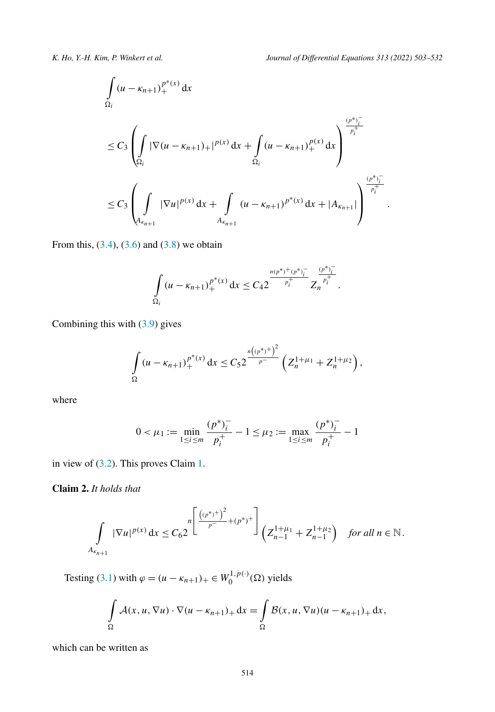<span id="page-11-0"></span>

*.*

$$
\int_{\Omega_i} (u - \kappa_{n+1})_+^{p^*(x)} dx
$$
\n
$$
\leq C_3 \left( \int_{\Omega_i} |\nabla (u - \kappa_{n+1})_+|^{p(x)} dx + \int_{\Omega_i} (u - \kappa_{n+1})_+^{p(x)} dx \right)^{\frac{(p^*)_i^-}{p_i^+}}
$$
\n
$$
\leq C_3 \left( \int_{A_{\kappa_{n+1}}} |\nabla u|^{p(x)} dx + \int_{A_{\kappa_{n+1}}} (u - \kappa_{n+1})^{p^*(x)} dx + |A_{\kappa_{n+1}}| \right)^{\frac{(p^*)_i^-}{p_i^+}}
$$

From this,  $(3.4)$ ,  $(3.6)$  and  $(3.8)$  $(3.8)$  $(3.8)$  we obtain

$$
\int_{\Omega_i} (u-\kappa_{n+1})_+^{p^*(x)} dx \leq C_4 2^{\frac{n(p^*)+(p^*)^-_i}{p^+_i}} Z_n^{\frac{(p^*)^-_i}{p^+_i}}.
$$

Combining this with [\(3.9\)](#page-10-0) gives

$$
\int_{\Omega} (u - \kappa_{n+1})_+^{p^*(x)} dx \leq C_5 2 \frac{\frac{n((p^*)^+)^2}{p^-}}{\left( Z_n^{1+\mu_1} + Z_n^{1+\mu_2} \right)},
$$

where

$$
0 < \mu_1 := \min_{1 \le i \le m} \frac{(p^*)_i^-}{p_i^+} - 1 \le \mu_2 := \max_{1 \le i \le m} \frac{(p^*)_i^-}{p_i^+} - 1
$$

in view of ([3.2](#page-9-0)). This proves Claim [1](#page-10-0).

**Claim 2.** *It holds that*

$$
\int_{A_{\kappa_{n+1}}} |\nabla u|^{p(x)} dx \leq C_6 2 \int_{0}^{\lfloor \frac{((p^*)^+)^2}{p^-} + (p^*)^+ \rfloor} \left( Z_{n-1}^{1+\mu_1} + Z_{n-1}^{1+\mu_2} \right) \quad \text{for all } n \in \mathbb{N}.
$$

Testing [\(3.1](#page-8-0)) with  $\varphi = (u - \kappa_{n+1})_+ \in W_0^{1, p(\cdot)}(\Omega)$  yields

$$
\int_{\Omega} \mathcal{A}(x, u, \nabla u) \cdot \nabla (u - \kappa_{n+1})_+ \, dx = \int_{\Omega} \mathcal{B}(x, u, \nabla u) (u - \kappa_{n+1})_+ \, dx,
$$

which can be written as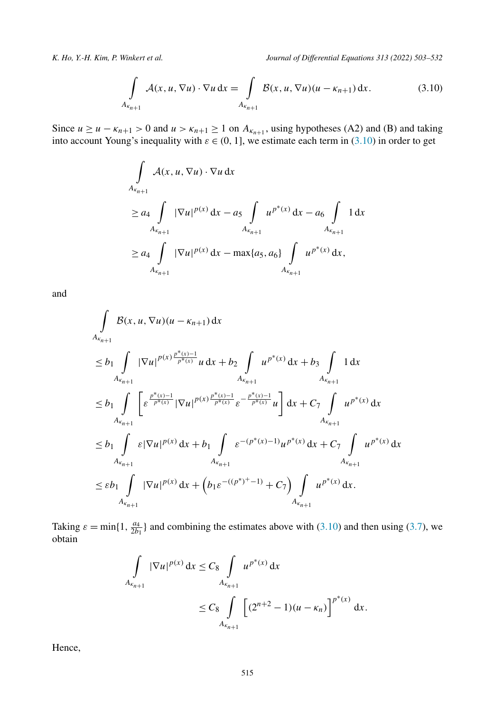$$
\int\limits_{A_{\kappa_{n+1}}} A(x, u, \nabla u) \cdot \nabla u \, dx = \int\limits_{A_{\kappa_{n+1}}} \mathcal{B}(x, u, \nabla u) (u - \kappa_{n+1}) \, dx. \tag{3.10}
$$

Since  $u \ge u - \kappa_{n+1} > 0$  and  $u > \kappa_{n+1} \ge 1$  on  $A_{\kappa_{n+1}}$ , using hypotheses (A2) and (B) and taking into account Young's inequality with  $\varepsilon \in (0, 1]$ , we estimate each term in  $(3.10)$  in order to get

$$
\int_{A_{\kappa_{n+1}}} A(x, u, \nabla u) \cdot \nabla u \, dx
$$
\n
$$
\geq a_4 \int_{A_{\kappa_{n+1}}} |\nabla u|^{p(x)} \, dx - a_5 \int_{A_{\kappa_{n+1}}} u^{p^*(x)} \, dx - a_6 \int_{A_{\kappa_{n+1}}} 1 \, dx
$$
\n
$$
\geq a_4 \int_{A_{\kappa_{n+1}}} |\nabla u|^{p(x)} \, dx - \max\{a_5, a_6\} \int_{A_{\kappa_{n+1}}} u^{p^*(x)} \, dx,
$$

and

$$
\int_{A_{\kappa_{n+1}}} \mathcal{B}(x, u, \nabla u)(u - \kappa_{n+1}) dx
$$
\n
$$
\leq b_1 \int_{A_{\kappa_{n+1}}} |\nabla u|^{p(x) \frac{p^*(x) - 1}{p^*(x)}} u \, dx + b_2 \int_{A_{\kappa_{n+1}}} u^{p^*(x)} dx + b_3 \int_{A_{\kappa_{n+1}}} 1 dx
$$
\n
$$
\leq b_1 \int_{A_{\kappa_{n+1}}} \left[ \varepsilon^{\frac{p^*(x) - 1}{p^*(x)}} |\nabla u|^{p(x) \frac{p^*(x) - 1}{p^*(x)}} \varepsilon^{-\frac{p^*(x) - 1}{p^*(x)}} u \right] dx + C_7 \int_{A_{\kappa_{n+1}}} u^{p^*(x)} dx
$$
\n
$$
\leq b_1 \int_{A_{\kappa_{n+1}}} \varepsilon |\nabla u|^{p(x)} dx + b_1 \int_{A_{\kappa_{n+1}}} \varepsilon^{-(p^*(x) - 1)} u^{p^*(x)} dx + C_7 \int_{A_{\kappa_{n+1}}} u^{p^*(x)} dx
$$
\n
$$
\leq \varepsilon b_1 \int_{A_{\kappa_{n+1}}} |\nabla u|^{p(x)} dx + \left( b_1 \varepsilon^{-(p^*(x) - 1)} + C_7 \right) \int_{A_{\kappa_{n+1}}} u^{p^*(x)} dx.
$$

Taking  $\varepsilon = \min\{1, \frac{a_4}{2b_1}\}\$  and combining the estimates above with (3.10) and then using ([3.7](#page-9-0)), we obtain

$$
\int_{A_{\kappa_{n+1}}} |\nabla u|^{p(x)} dx \leq C_8 \int_{A_{\kappa_{n+1}}} u^{p^*(x)} dx
$$
  

$$
\leq C_8 \int_{A_{\kappa_{n+1}}} \left[ (2^{n+2} - 1)(u - \kappa_n) \right]^{p^*(x)} dx.
$$

Hence,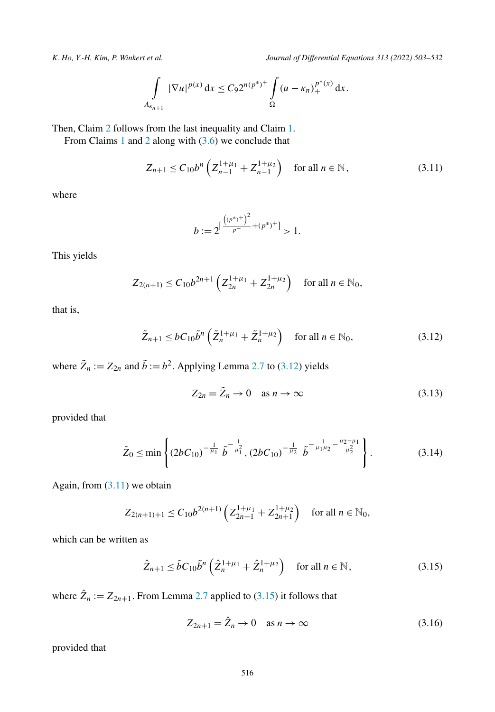<span id="page-13-0"></span>

$$
\int_{A_{\kappa_{n+1}}} |\nabla u|^{p(x)} dx \leq C_9 2^{n(p^*)^+} \int_{\Omega} (u - \kappa_n)_+^{p^*(x)} dx.
$$

Then, Claim [2](#page-11-0) follows from the last inequality and Claim [1](#page-10-0).

From Claims [1](#page-10-0) and [2](#page-11-0) along with [\(3.6\)](#page-9-0) we conclude that

$$
Z_{n+1} \le C_{10} b^n \left( Z_{n-1}^{1+\mu_1} + Z_{n-1}^{1+\mu_2} \right) \quad \text{for all } n \in \mathbb{N},\tag{3.11}
$$

where

$$
b := 2^{\left[\frac{((p^*)^+}{p^-} + (p^*)^+\right]} > 1.
$$

This yields

$$
Z_{2(n+1)} \le C_{10} b^{2n+1} \left( Z_{2n}^{1+\mu_1} + Z_{2n}^{1+\mu_2} \right) \quad \text{for all } n \in \mathbb{N}_0,
$$

that is,

$$
\tilde{Z}_{n+1} \le b C_{10} \tilde{b}^n \left(\tilde{Z}_n^{1+\mu_1} + \tilde{Z}_n^{1+\mu_2}\right) \quad \text{for all } n \in \mathbb{N}_0,
$$
\n(3.12)

where  $\tilde{Z}_n := Z_{2n}$  and  $\tilde{b} := b^2$ . Applying Lemma [2.7](#page-7-0) to (3.12) yields

$$
Z_{2n} = \tilde{Z}_n \to 0 \quad \text{as } n \to \infty \tag{3.13}
$$

provided that

$$
\tilde{Z}_0 \le \min\left\{ (2bC_{10})^{-\frac{1}{\mu_1}} \tilde{b}^{-\frac{1}{\mu_1^2}}, (2bC_{10})^{-\frac{1}{\mu_2}} \tilde{b}^{-\frac{1}{\mu_1\mu_2} - \frac{\mu_2 - \mu_1}{\mu_2^2}} \right\}.
$$
\n(3.14)

Again, from  $(3.11)$  we obtain

$$
Z_{2(n+1)+1} \le C_{10} b^{2(n+1)} \left( Z_{2n+1}^{1+\mu_1} + Z_{2n+1}^{1+\mu_2} \right) \quad \text{for all } n \in \mathbb{N}_0,
$$

which can be written as

$$
\hat{Z}_{n+1} \le \tilde{b} C_{10} \tilde{b}^n \left( \hat{Z}_n^{1+\mu_1} + \hat{Z}_n^{1+\mu_2} \right) \quad \text{for all } n \in \mathbb{N},\tag{3.15}
$$

where  $\hat{Z}_n := Z_{2n+1}$ . From Lemma [2.7](#page-7-0) applied to (3.15) it follows that

$$
Z_{2n+1} = \hat{Z}_n \to 0 \quad \text{as } n \to \infty \tag{3.16}
$$

provided that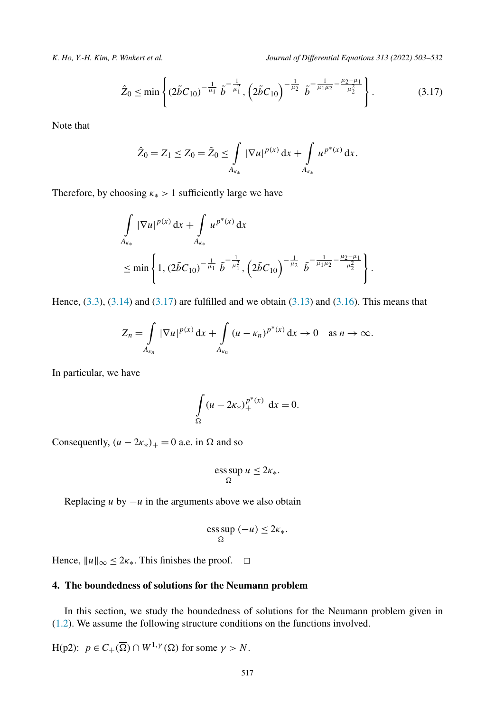<span id="page-14-0"></span>

$$
\hat{Z}_0 \le \min\left\{ (2\tilde{b}C_{10})^{-\frac{1}{\mu_1}} \tilde{b}^{-\frac{1}{\mu_1}}, \left( 2\tilde{b}C_{10} \right)^{-\frac{1}{\mu_2}} \tilde{b}^{-\frac{1}{\mu_1\mu_2} - \frac{\mu_2 - \mu_1}{\mu_2^2}} \right\}.
$$
(3.17)

Note that

$$
\hat{Z}_0 = Z_1 \le Z_0 = \tilde{Z}_0 \le \int\limits_{A_{\kappa_*}} |\nabla u|^{p(x)} \, \mathrm{d}x + \int\limits_{A_{\kappa_*}} u^{p^*(x)} \, \mathrm{d}x.
$$

Therefore, by choosing  $\kappa$ <sup>\*</sup> > 1 sufficiently large we have

$$
\int_{A_{\kappa_*}} |\nabla u|^{p(x)} dx + \int_{A_{\kappa_*}} u^{p^*(x)} dx
$$
\n
$$
\leq \min \left\{ 1, (2\tilde{b}C_{10})^{-\frac{1}{\mu_1}} \tilde{b}^{-\frac{1}{\mu_1^2}}, \left( 2\tilde{b}C_{10} \right)^{-\frac{1}{\mu_2}} \tilde{b}^{-\frac{1}{\mu_1 \mu_2} - \frac{\mu_2 - \mu_1}{\mu_2^2}} \right\}.
$$

Hence,  $(3.3)$ ,  $(3.14)$  and  $(3.17)$  are fulfilled and we obtain  $(3.13)$  $(3.13)$  $(3.13)$  and  $(3.16)$  $(3.16)$  $(3.16)$ . This means that

$$
Z_n = \int\limits_{A_{\kappa_n}} |\nabla u|^{p(x)} dx + \int\limits_{A_{\kappa_n}} (u - \kappa_n)^{p^*(x)} dx \to 0 \quad \text{as } n \to \infty.
$$

In particular, we have

$$
\int_{\Omega} (u - 2\kappa_*)_+^{p^*(x)} \, \mathrm{d}x = 0.
$$

Consequently,  $(u - 2\kappa_*)_+ = 0$  a.e. in  $\Omega$  and so

$$
\operatorname*{ess\,sup}_{\Omega} u \leq 2\kappa_*.
$$

Replacing *u* by  $-u$  in the arguments above we also obtain

$$
\operatorname*{ess\,sup}_{\Omega}(-u)\leq 2\kappa_*.
$$

Hence,  $||u||_{\infty} \le 2\kappa_*$ . This finishes the proof.  $\Box$ 

#### **4. The boundedness of solutions for the Neumann problem**

In this section, we study the boundedness of solutions for the Neumann problem given in ([1.2](#page-1-0)). We assume the following structure conditions on the functions involved.

 $H(p2): p \in C_+(\overline{\Omega}) \cap W^{1,\gamma}(\Omega)$  for some  $\gamma > N$ .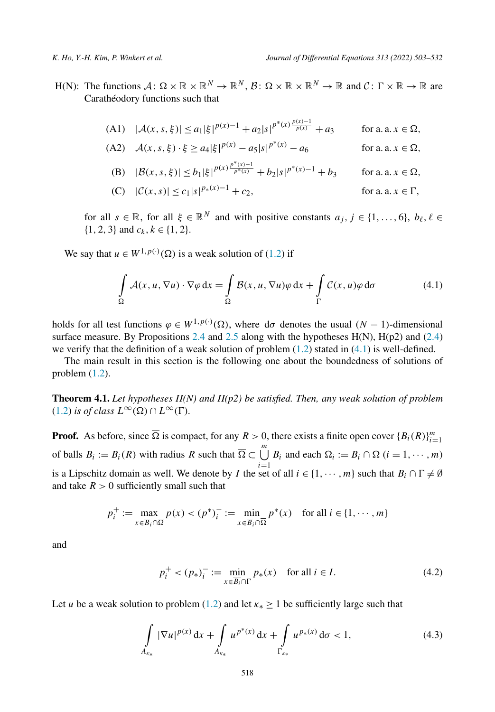<span id="page-15-0"></span>H(N): The functions  $A: \Omega \times \mathbb{R} \times \mathbb{R}^N \to \mathbb{R}^N$ ,  $\mathcal{B}: \Omega \times \mathbb{R} \times \mathbb{R}^N \to \mathbb{R}$  and  $\mathcal{C}: \Gamma \times \mathbb{R} \to \mathbb{R}$  are Carathéodory functions such that

(A1) 
$$
|\mathcal{A}(x, s, \xi)| \le a_1 |\xi|^{p(x)-1} + a_2 |s|^{p^*(x)} \frac{p(x)-1}{p(x)} + a_3
$$
 for a. a.  $x \in \Omega$ ,

(A2) 
$$
\mathcal{A}(x, s, \xi) \cdot \xi \ge a_4 |\xi|^{p(x)} - a_5 |s|^{p^*(x)} - a_6
$$
 for a. a.  $x \in \Omega$ ,

(B) 
$$
|\mathcal{B}(x, s, \xi)| \le b_1 |\xi|^{p(x) \frac{p^*(x)-1}{p^*(x)}} + b_2 |s|^{p^*(x)-1} + b_3
$$
 for a.a.  $x \in \Omega$ ,

(C) 
$$
|\mathcal{C}(x, s)| \le c_1 |s|^{p_*(x)-1} + c_2
$$
, for a. a.  $x \in \Gamma$ ,

for all  $s \in \mathbb{R}$ , for all  $\xi \in \mathbb{R}^N$  and with positive constants  $a_j, j \in \{1, ..., 6\}, b_\ell, \ell \in$  $\{1, 2, 3\}$  and  $c_k, k \in \{1, 2\}.$ 

We say that  $u \in W^{1, p(\cdot)}(\Omega)$  is a weak solution of ([1.2](#page-1-0)) if

$$
\int_{\Omega} \mathcal{A}(x, u, \nabla u) \cdot \nabla \varphi \, dx = \int_{\Omega} \mathcal{B}(x, u, \nabla u) \varphi \, dx + \int_{\Gamma} \mathcal{C}(x, u) \varphi \, d\sigma \tag{4.1}
$$

holds for all test functions  $\varphi \in W^{1,p(\cdot)}(\Omega)$ , where d $\sigma$  denotes the usual  $(N-1)$ -dimensional surface measure. By Propositions [2.4](#page-5-0) and [2.5](#page-6-0) along with the hypotheses  $H(N)$ ,  $H(p2)$  and [\(2.4\)](#page-7-0) we verify that the definition of a weak solution of problem  $(1.2)$  stated in  $(4.1)$  is well-defined.

The main result in this section is the following one about the boundedness of solutions of problem ([1.2](#page-1-0)).

**Theorem 4.1.** *Let hypotheses H(N) and H(p2) be satisfied. Then, any weak solution of problem*  $(1.2)$  $(1.2)$  $(1.2)$  *is of class*  $L^{\infty}(\Omega) \cap L^{\infty}(\Gamma)$ *.* 

**Proof.** As before, since  $\overline{\Omega}$  is compact, for any  $R > 0$ , there exists a finite open cover  $\{B_i(R)\}_{i=1}^m$ of balls  $B_i := B_i(R)$  with radius R such that  $\overline{\Omega} \subset \bigcup_{i=1}^m B_i$  and each  $\Omega_i := B_i \cap \Omega$  ( $i = 1, \dots, m$ ) is a Lipschitz domain as well. We denote by *I* the set of all  $i \in \{1, \dots, m\}$  such that  $B_i \cap \Gamma \neq \emptyset$ and take  $R > 0$  sufficiently small such that

$$
p_i^+ := \max_{x \in \overline{B}_i \cap \overline{\Omega}} p(x) < (p^*)_i^- := \min_{x \in \overline{B}_i \cap \overline{\Omega}} p^*(x) \quad \text{for all } i \in \{1, \cdots, m\}
$$

and

$$
p_i^+ < (p_*)_i^- := \min_{x \in \overline{B_i} \cap \Gamma} p_*(x) \quad \text{for all } i \in I. \tag{4.2}
$$

Let *u* be a weak solution to problem ([1.2](#page-1-0)) and let  $\kappa_* \ge 1$  be sufficiently large such that

$$
\int\limits_{A_{\kappa_*}} |\nabla u|^{p(x)} \, \mathrm{d}x + \int\limits_{A_{\kappa_*}} u^{p^*(x)} \, \mathrm{d}x + \int\limits_{\Gamma_{\kappa_*}} u^{p_*(x)} \, \mathrm{d}\sigma < 1,\tag{4.3}
$$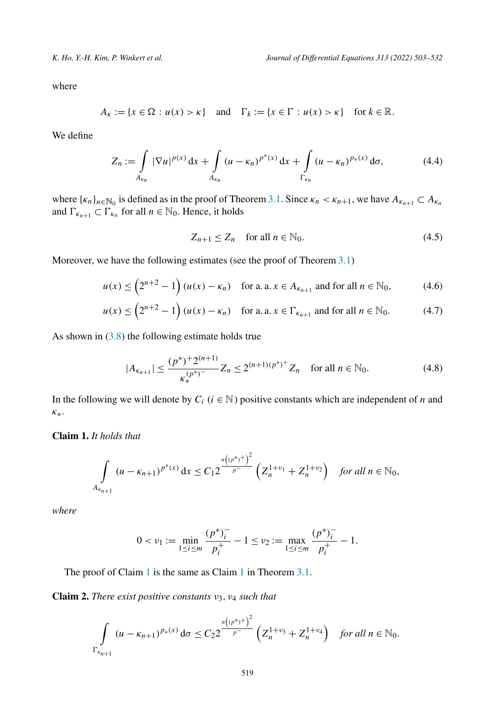<span id="page-16-0"></span>where

$$
A_{\kappa} := \{x \in \Omega : u(x) > \kappa\} \quad \text{and} \quad \Gamma_k := \{x \in \Gamma : u(x) > \kappa\} \quad \text{for } k \in \mathbb{R}.
$$

We define

$$
Z_n := \int\limits_{A_{\kappa_n}} |\nabla u|^{p(x)} dx + \int\limits_{A_{\kappa_n}} (u - \kappa_n)^{p^*(x)} dx + \int\limits_{\Gamma_{\kappa_n}} (u - \kappa_n)^{p_*(x)} d\sigma,
$$
 (4.4)

where  $\{\kappa_n\}_{n \in \mathbb{N}_0}$  is defined as in the proof of Theorem [3.1.](#page-8-0) Since  $\kappa_n < \kappa_{n+1}$ , we have  $A_{\kappa_{n+1}} \subset A_{\kappa_n}$ and  $\Gamma_{\kappa_{n+1}} \subset \Gamma_{\kappa_n}$  for all  $n \in \mathbb{N}_0$ . Hence, it holds

$$
Z_{n+1} \le Z_n \quad \text{for all } n \in \mathbb{N}_0. \tag{4.5}
$$

Moreover, we have the following estimates (see the proof of Theorem [3.1](#page-8-0))

$$
u(x) \le \left(2^{n+2} - 1\right) (u(x) - \kappa_n) \quad \text{for a. a. } x \in A_{\kappa_{n+1}} \text{ and for all } n \in \mathbb{N}_0,
$$
 (4.6)

$$
u(x) \le \left(2^{n+2} - 1\right) (u(x) - \kappa_n) \quad \text{for a. a. } x \in \Gamma_{\kappa_{n+1}} \text{ and for all } n \in \mathbb{N}_0. \tag{4.7}
$$

As shown in  $(3.8)$  $(3.8)$  the following estimate holds true

$$
|A_{\kappa_{n+1}}| \le \frac{(p^*)^+ 2^{(n+1)}}{\kappa_*^{(p^*)^-}} Z_n \le 2^{(n+1)(p^*)^+} Z_n \quad \text{for all } n \in \mathbb{N}_0. \tag{4.8}
$$

In the following we will denote by  $C_i$  ( $i \in \mathbb{N}$ ) positive constants which are independent of *n* and *κ*∗.

# **Claim 1.** *It holds that*

$$
\int_{A_{\kappa_{n+1}}} (u - \kappa_{n+1})^{p^*(x)} dx \le C_1 2 \frac{\binom{n(p^*)+1}{p^-}}{\binom{p^*}{n}^+} \left( Z_n^{1+\nu_1} + Z_n^{1+\nu_2} \right) \quad \text{for all } n \in \mathbb{N}_0,
$$

*where*

$$
0 < \nu_1 := \min_{1 \leq i \leq m} \frac{(p^*)_i^-}{p_i^+} - 1 \leq \nu_2 := \max_{1 \leq i \leq m} \frac{(p^*)_i^-}{p_i^+} - 1.
$$

The proof of Claim 1 is the same as Claim [1](#page-10-0) in Theorem [3.1.](#page-8-0)

**Claim 2.** *There exist positive constants ν*3*, ν*<sup>4</sup> *such that*

$$
\int_{\Gamma_{\kappa_{n+1}}} (u - \kappa_{n+1})^{p_*(x)} d\sigma \le C_2 2^{\frac{n((p^*)^+)^2}{p^-}} \left( Z_n^{1+\nu_3} + Z_n^{1+\nu_4} \right) \quad \text{for all } n \in \mathbb{N}_0.
$$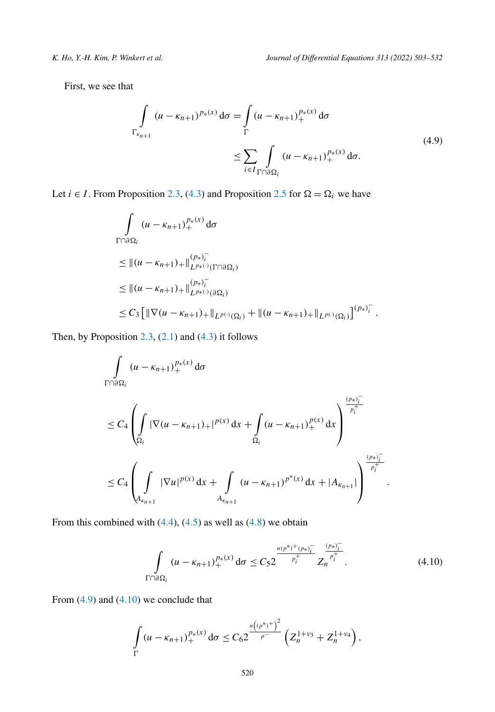First, we see that

$$
\int_{\Gamma_{\kappa_{n+1}}} (u - \kappa_{n+1})^{p_*(x)} d\sigma = \int_{\Gamma} (u - \kappa_{n+1})_+^{p_*(x)} d\sigma
$$
\n
$$
\leq \sum_{i \in I} \int_{\Gamma \cap \partial \Omega_i} (u - \kappa_{n+1})_+^{p_*(x)} d\sigma.
$$
\n(4.9)

Let *i*  $\in$  *I*. From Proposition [2.3,](#page-4-0) [\(4.3\)](#page-15-0) and Proposition [2.5](#page-6-0) for  $\Omega = \Omega_i$  we have

$$
\int_{\Gamma \cap \partial \Omega_i} (u - \kappa_{n+1})_+^{p_*(x)} d\sigma
$$
\n
$$
\leq ||(u - \kappa_{n+1})_+||_{L^{p_*(x)}(\Gamma \cap \partial \Omega_i)}^{(p_*)^-_i}
$$
\n
$$
\leq ||(u - \kappa_{n+1})_+||_{L^{p_*(x)}(\partial \Omega_i)}^{(p_*)^-_i}
$$
\n
$$
\leq C_3 \Big[ ||\nabla (u - \kappa_{n+1})_+||_{L^{p(x)}(\Omega_i)} + ||(u - \kappa_{n+1})_+||_{L^{p(x)}(\Omega_i)} \Big]^{(p_*)^-_i}.
$$

Then, by Proposition  $2.3$ ,  $(2.1)$  $(2.1)$  $(2.1)$  and  $(4.3)$  it follows

$$
\int_{\Gamma \cap \partial \Omega_{i}} (u - \kappa_{n+1})_{+}^{p_{*}(x)} d\sigma
$$
\n
$$
\leq C_{4} \left( \int_{\Omega_{i}} |\nabla (u - \kappa_{n+1})_{+}|^{p(x)} dx + \int_{\Omega_{i}} (u - \kappa_{n+1})_{+}^{p(x)} dx \right)^{\frac{(p_{*})_{i}^{-}}{p_{i}^{+}}}
$$
\n
$$
\leq C_{4} \left( \int_{A_{\kappa_{n+1}}} |\nabla u|^{p(x)} dx + \int_{A_{\kappa_{n+1}}} (u - \kappa_{n+1})^{p^{*}(x)} dx + |A_{\kappa_{n+1}}| \right)^{\frac{(p_{*})_{i}^{-}}{p_{i}^{+}}}
$$

From this combined with  $(4.4)$  $(4.4)$  $(4.4)$ ,  $(4.5)$  $(4.5)$  $(4.5)$  as well as  $(4.8)$  $(4.8)$  $(4.8)$  we obtain

$$
\int_{\Gamma \cap \partial \Omega_i} (u - \kappa_{n+1})_+^{p_*(x)} d\sigma \le C_5 2 \frac{ {}^{n(p^*)^+(p_*)^-_i} }{ {}^{p_i^+}_i} Z_n^{\frac{(p_*)^-_i}{p_i^+}}.
$$
\n(4.10)

*.*

From (4.9) and (4.10) we conclude that

$$
\int_{\Gamma} (u - \kappa_{n+1})_+^{p_*(x)} d\sigma \leq C_6 2 \frac{\binom{n(p^*)+1}{p^-}}{p^-} \left( Z_n^{1+\nu_3} + Z_n^{1+\nu_4} \right),
$$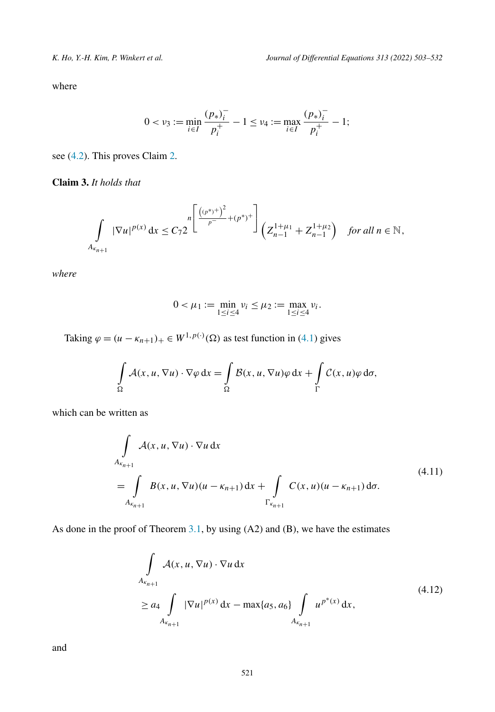<span id="page-18-0"></span>where

$$
0 < \nu_3 := \min_{i \in I} \frac{(p_*)_i^-}{p_i^+} - 1 \le \nu_4 := \max_{i \in I} \frac{(p_*)_i^-}{p_i^+} - 1;
$$

see [\(4.2\)](#page-15-0). This proves Claim [2.](#page-16-0)

**Claim 3.** *It holds that*

$$
\int\limits_{A_{\kappa_{n+1}}} |\nabla u|^{p(x)} dx \le C_7 2 \int\limits^{\lfloor (p^*)^2 \rfloor + (p^*)^+} \left( Z_{n-1}^{1+\mu_1} + Z_{n-1}^{1+\mu_2} \right) \quad \text{for all } n \in \mathbb{N},
$$

*where*

$$
0 < \mu_1 := \min_{1 \le i \le 4} v_i \le \mu_2 := \max_{1 \le i \le 4} v_i.
$$

Taking  $\varphi = (u - \kappa_{n+1})_+ \in W^{1, p(\cdot)}(\Omega)$  as test function in ([4.1](#page-15-0)) gives

$$
\int_{\Omega} \mathcal{A}(x, u, \nabla u) \cdot \nabla \varphi \, dx = \int_{\Omega} \mathcal{B}(x, u, \nabla u) \varphi \, dx + \int_{\Gamma} \mathcal{C}(x, u) \varphi \, d\sigma,
$$

which can be written as

$$
\int_{A_{\kappa_{n+1}}} A(x, u, \nabla u) \cdot \nabla u \, dx
$$
\n
$$
= \int_{A_{\kappa_{n+1}}} B(x, u, \nabla u)(u - \kappa_{n+1}) \, dx + \int_{\Gamma_{\kappa_{n+1}}} C(x, u)(u - \kappa_{n+1}) \, d\sigma.
$$
\n
$$
(4.11)
$$

As done in the proof of Theorem  $3.1$ , by using  $(A2)$  and  $(B)$ , we have the estimates

$$
\int_{A_{\kappa_{n+1}}} A(x, u, \nabla u) \cdot \nabla u \, dx
$$
\n
$$
\ge a_4 \int_{A_{\kappa_{n+1}}} |\nabla u|^{p(x)} \, dx - \max\{a_5, a_6\} \int_{A_{\kappa_{n+1}}} u^{p^*(x)} \, dx,
$$
\n(4.12)

and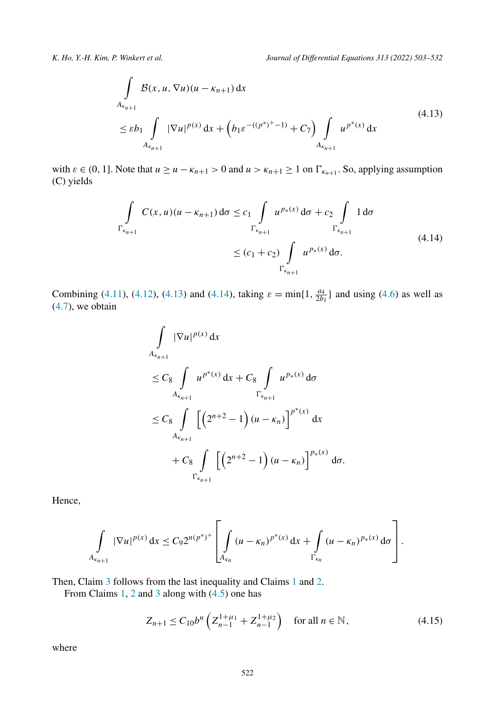<span id="page-19-0"></span>
$$
\int_{A_{\kappa_{n+1}}} \mathcal{B}(x, u, \nabla u)(u - \kappa_{n+1}) dx
$$
\n
$$
\leq \varepsilon b_1 \int_{A_{\kappa_{n+1}}} |\nabla u|^{p(x)} dx + \left( b_1 \varepsilon^{-(p^*)^+ - 1)} + C_7 \right) \int_{A_{\kappa_{n+1}}} u^{p^*(x)} dx
$$
\n(4.13)

with  $\varepsilon \in (0, 1]$ . Note that  $u \ge u - \kappa_{n+1} > 0$  and  $u > \kappa_{n+1} \ge 1$  on  $\Gamma_{\kappa_{n+1}}$ . So, applying assumption (C) yields

$$
\int_{\Gamma_{\kappa_{n+1}}} C(x, u)(u - \kappa_{n+1}) d\sigma \le c_1 \int_{\Gamma_{\kappa_{n+1}}} u^{p_*(x)} d\sigma + c_2 \int_{\Gamma_{\kappa_{n+1}}} 1 d\sigma
$$
\n
$$
\le (c_1 + c_2) \int_{\Gamma_{\kappa_{n+1}}} u^{p_*(x)} d\sigma.
$$
\n(4.14)

Combining [\(4.11](#page-18-0)), ([4.12](#page-18-0)), (4.13) and (4.14), taking  $\varepsilon = \min\{1, \frac{a_4}{2b_1}\}\$  and using ([4.6](#page-16-0)) as well as  $(4.7)$  $(4.7)$  $(4.7)$ , we obtain

$$
\int_{A_{\kappa_{n+1}}} |\nabla u|^{p(x)} dx
$$
\n
$$
\leq C_8 \int_{A_{\kappa_{n+1}}} u^{p^*(x)} dx + C_8 \int_{\Gamma_{\kappa_{n+1}}} u^{p^*(x)} d\sigma
$$
\n
$$
\leq C_8 \int_{A_{\kappa_{n+1}}} \left[ \left( 2^{n+2} - 1 \right) (u - \kappa_n) \right]^{p^*(x)} dx
$$
\n
$$
+ C_8 \int_{\Gamma_{\kappa_{n+1}}} \left[ \left( 2^{n+2} - 1 \right) (u - \kappa_n) \right]^{p^*(x)} d\sigma.
$$

Hence,

$$
\int_{A_{\kappa_{n+1}}} |\nabla u|^{p(x)} dx \leq C_9 2^{n(p^*)^+} \left[ \int_{A_{\kappa_n}} (u - \kappa_n)^{p^*(x)} dx + \int_{\Gamma_{\kappa_n}} (u - \kappa_n)^{p_*(x)} d\sigma \right].
$$

Then, Claim [3](#page-18-0) follows from the last inequality and Claims [1](#page-16-0) and [2.](#page-16-0)

From Claims [1](#page-16-0), [2](#page-16-0) and [3](#page-18-0) along with [\(4.5\)](#page-16-0) one has

$$
Z_{n+1} \le C_{10} b^n \left( Z_{n-1}^{1+\mu_1} + Z_{n-1}^{1+\mu_2} \right) \quad \text{for all } n \in \mathbb{N},\tag{4.15}
$$

where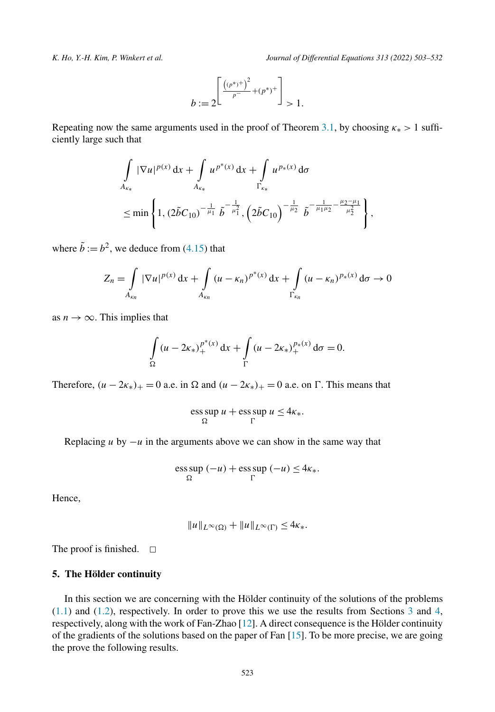<span id="page-20-0"></span>

$$
b:=2^{\left[\frac{\left((p^*)^+\right)^2}{p^-}+(p^*)^+\right]}>1.
$$

Repeating now the same arguments used in the proof of Theorem [3.1,](#page-8-0) by choosing  $\kappa_* > 1$  sufficiently large such that

$$
\int_{A_{\kappa_*}} |\nabla u|^{p(x)} dx + \int_{A_{\kappa_*}} u^{p^*(x)} dx + \int_{\Gamma_{\kappa_*}} u^{p_*(x)} d\sigma
$$
\n
$$
\leq \min \left\{ 1, (2\tilde{b}C_{10})^{-\frac{1}{\mu_1}} \tilde{b}^{-\frac{1}{\mu_1^2}}, \left( 2\tilde{b}C_{10} \right)^{-\frac{1}{\mu_2}} \tilde{b}^{-\frac{1}{\mu_1 \mu_2} - \frac{\mu_2 - \mu_1}{\mu_2^2}} \right\},
$$

where  $\tilde{b} := b^2$ , we deduce from ([4.15](#page-19-0)) that

$$
Z_n = \int\limits_{A_{\kappa_n}} |\nabla u|^{p(x)} dx + \int\limits_{A_{\kappa_n}} (u - \kappa_n)^{p^*(x)} dx + \int\limits_{\Gamma_{\kappa_n}} (u - \kappa_n)^{p_*(x)} d\sigma \to 0
$$

as  $n \to \infty$ . This implies that

$$
\int_{\Omega} (u - 2\kappa_*)_+^{p^*(x)} dx + \int_{\Gamma} (u - 2\kappa_*)_+^{p_*(x)} d\sigma = 0.
$$

Therefore,  $(u - 2\kappa_*)_+ = 0$  a.e. in  $\Omega$  and  $(u - 2\kappa_*)_+ = 0$  a.e. on  $\Gamma$ . This means that

$$
\operatorname*{ess\,sup}_{\Omega} u + \operatorname*{ess\,sup}_{\Gamma} u \leq 4\kappa_*.
$$

Replacing *u* by  $-u$  in the arguments above we can show in the same way that

$$
\operatorname{ess} \operatorname{sup}_{\Omega} (-u) + \operatorname{ess} \operatorname{sup}_{\Gamma} (-u) \leq 4\kappa_*.
$$

Hence,

$$
||u||_{L^{\infty}(\Omega)} + ||u||_{L^{\infty}(\Gamma)} \leq 4\kappa_{*}.
$$

The proof is finished.  $\Box$ 

### **5. The Hölder continuity**

In this section we are concerning with the Hölder continuity of the solutions of the problems  $(1.1)$  $(1.1)$  $(1.1)$  and  $(1.2)$  $(1.2)$  $(1.2)$ , respectively. In order to prove this we use the results from Sections [3](#page-8-0) and [4,](#page-14-0) respectively, along with the work of Fan-Zhao [\[12](#page-27-0)]. A direct consequence isthe Hölder continuity of the gradients of the solutions based on the paper of Fan [\[15\]](#page-27-0). To be more precise, we are going the prove the following results.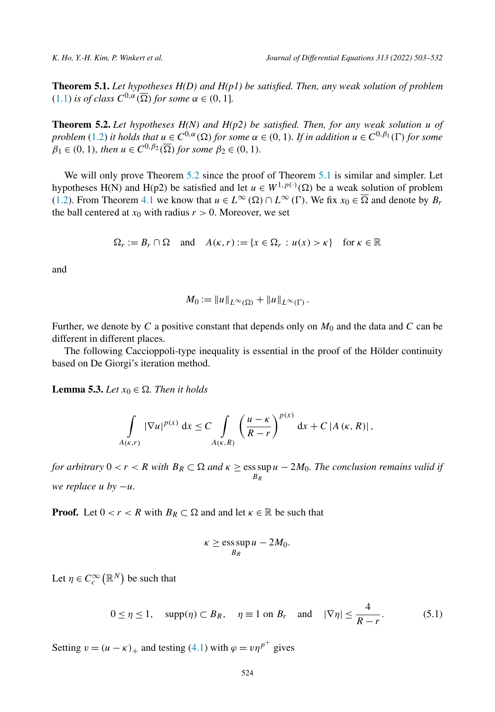<span id="page-21-0"></span>**Theorem 5.1.** *Let hypotheses H(D) and H(p1) be satisfied. Then, any weak solution of problem*  $(1.1)$  $(1.1)$  $(1.1)$  *is of class*  $C^{0,\alpha}(\overline{\Omega})$  *for some*  $\alpha \in (0,1]$ *.* 

**Theorem 5.2.** *Let hypotheses H(N) and H(p2) be satisfied. Then, for any weak solution u of* problem [\(1.2\)](#page-1-0) it holds that  $u \in C^{0,\alpha}(\Omega)$  for some  $\alpha \in (0,1)$ . If in addition  $u \in C^{0,\beta_1}(\Gamma)$  for some  $\beta_1 \in (0, 1)$ *, then*  $u \in C^{0, \beta_2}(\overline{\Omega})$  for some  $\beta_2 \in (0, 1)$ *.* 

We will only prove Theorem 5.2 since the proof of Theorem 5.1 is similar and simpler. Let hypotheses H(N) and H(p2) be satisfied and let  $u \in W^{1,p(\cdot)}(\Omega)$  be a weak solution of problem ([1.2](#page-1-0)). From Theorem [4.1](#page-15-0) we know that  $u \in L^{\infty}(\Omega) \cap L^{\infty}(\Gamma)$ . We fix  $x_0 \in \overline{\Omega}$  and denote by  $B_r$ the ball centered at  $x_0$  with radius  $r > 0$ . Moreover, we set

$$
\Omega_r := B_r \cap \Omega \quad \text{and} \quad A(\kappa, r) := \{x \in \Omega_r : u(x) > \kappa\} \quad \text{for } \kappa \in \mathbb{R}
$$

and

$$
M_0 := \|u\|_{L^{\infty}(\Omega)} + \|u\|_{L^{\infty}(\Gamma)}.
$$

Further, we denote by *C* a positive constant that depends only on *M*<sup>0</sup> and the data and *C* can be different in different places.

The following Caccioppoli-type inequality is essential in the proof of the Hölder continuity based on De Giorgi's iteration method.

**Lemma 5.3.** *Let*  $x_0 \in \Omega$ *. Then it holds* 

$$
\int_{A(\kappa,r)} |\nabla u|^{p(x)} dx \leq C \int_{A(\kappa,R)} \left(\frac{u-\kappa}{R-r}\right)^{p(x)} dx + C |A(\kappa,R)|,
$$

*for arbitrary*  $0 < r < R$  *with*  $B_R \subset \Omega$  *and*  $\kappa \geq \text{ess}\sup u - 2M_0$ *. The conclusion remains valid if BR we replace u by* −*u.*

**Proof.** Let  $0 < r < R$  with  $B_R \subset \Omega$  and and let  $\kappa \in \mathbb{R}$  be such that

$$
\kappa \ge \operatorname*{ess\,sup}_{B_R} u - 2M_0.
$$

Let  $\eta \in C_c^{\infty}(\mathbb{R}^N)$  be such that

$$
0 \le \eta \le 1, \quad \text{supp}(\eta) \subset B_R, \quad \eta \equiv 1 \text{ on } B_r \quad \text{and} \quad |\nabla \eta| \le \frac{4}{R-r}.\tag{5.1}
$$

4

Setting  $v = (u - \kappa)_+$  and testing [\(4.1\)](#page-15-0) with  $\varphi = v\eta^{p^+}$  gives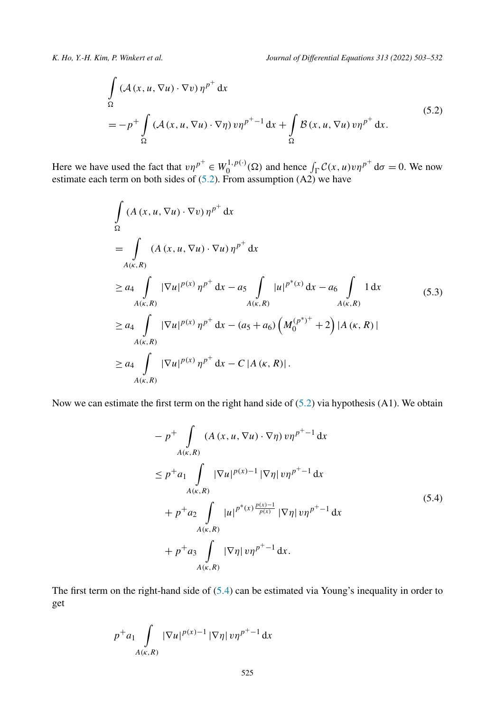<span id="page-22-0"></span>
$$
\int_{\Omega} \left( \mathcal{A}(x, u, \nabla u) \cdot \nabla v \right) \eta^{p^+} dx
$$
\n
$$
= -p^+ \int_{\Omega} \left( \mathcal{A}(x, u, \nabla u) \cdot \nabla \eta \right) v \eta^{p^+ - 1} dx + \int_{\Omega} \mathcal{B}(x, u, \nabla u) v \eta^{p^+} dx.
$$
\n(5.2)

Here we have used the fact that  $v\eta^{p^+} \in W_0^{1,p(\cdot)}(\Omega)$  and hence  $\int_{\Gamma} C(x, u)v\eta^{p^+} d\sigma = 0$ . We now estimate each term on both sides of  $(5.2)$ . From assumption  $(A2)$  we have

$$
\int_{\Omega} (A(x, u, \nabla u) \cdot \nabla v) \eta^{p^{+}} dx
$$
\n
$$
= \int_{A(\kappa, R)} (A(x, u, \nabla u) \cdot \nabla u) \eta^{p^{+}} dx
$$
\n
$$
\ge a_{4} \int_{A(\kappa, R)} |\nabla u|^{p(x)} \eta^{p^{+}} dx - a_{5} \int_{A(\kappa, R)} |u|^{p^{*}(x)} dx - a_{6} \int_{A(\kappa, R)} 1 dx
$$
\n
$$
\ge a_{4} \int_{A(\kappa, R)} |\nabla u|^{p(x)} \eta^{p^{+}} dx - (a_{5} + a_{6}) \left(M_{0}^{(p^{*})^{+}} + 2\right) |A(\kappa, R)|
$$
\n
$$
\ge a_{4} \int_{A(\kappa, R)} |\nabla u|^{p(x)} \eta^{p^{+}} dx - C |A(\kappa, R)|.
$$
\n(4.8)

Now we can estimate the first term on the right hand side of  $(5.2)$  via hypothesis (A1). We obtain

$$
- p^{+} \int_{A(\kappa,R)} (A(x, u, \nabla u) \cdot \nabla \eta) v \eta^{p^{+}-1} dx
$$
  
\n
$$
\leq p^{+} a_{1} \int_{A(\kappa,R)} |\nabla u|^{p(x)-1} |\nabla \eta| v \eta^{p^{+}-1} dx
$$
  
\n
$$
+ p^{+} a_{2} \int_{A(\kappa,R)} |u|^{p^{*}(x) \frac{p(x)-1}{p(x)}} |\nabla \eta| v \eta^{p^{+}-1} dx
$$
  
\n
$$
+ p^{+} a_{3} \int_{A(\kappa,R)} |\nabla \eta| v \eta^{p^{+}-1} dx.
$$
\n(5.4)

The first term on the right-hand side of (5.4) can be estimated via Young's inequality in order to get

$$
p^+ a_1 \int\limits_{A(\kappa,R)} |\nabla u|^{p(x)-1} |\nabla \eta| \, v \eta^{p^+-1} \, \mathrm{d}x
$$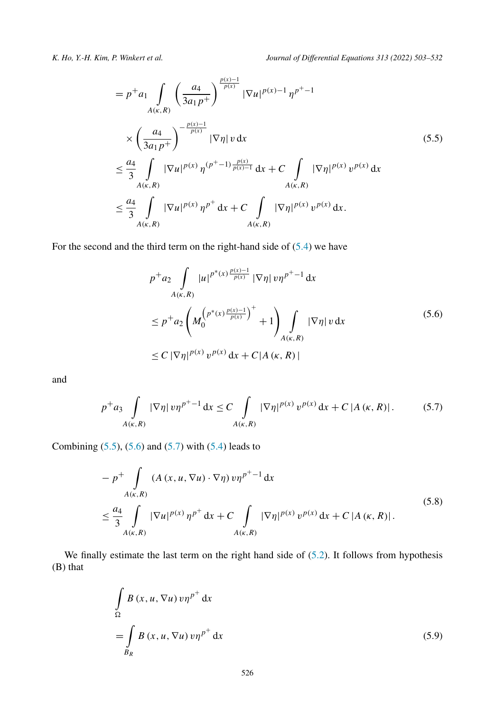<span id="page-23-0"></span>

$$
= p^{+} a_{1} \int_{A(\kappa,R)} \left(\frac{a_{4}}{3a_{1} p^{+}}\right)^{\frac{p(x)-1}{p(x)}} |\nabla u|^{p(x)-1} \eta^{p^{+}-1}
$$
  

$$
\times \left(\frac{a_{4}}{3a_{1} p^{+}}\right)^{-\frac{p(x)-1}{p(x)}} |\nabla \eta| v \, dx
$$
  

$$
\leq \frac{a_{4}}{3} \int_{A(\kappa,R)} |\nabla u|^{p(x)} \eta^{(p^{+}-1)\frac{p(x)}{p(x)-1}} dx + C \int_{A(\kappa,R)} |\nabla \eta|^{p(x)} v^{p(x)} dx
$$
  

$$
\leq \frac{a_{4}}{3} \int_{A(\kappa,R)} |\nabla u|^{p(x)} \eta^{p^{+}} dx + C \int_{A(\kappa,R)} |\nabla \eta|^{p(x)} v^{p(x)} dx.
$$
 (5.5)

For the second and the third term on the right-hand side of [\(5.4\)](#page-22-0) we have

$$
p^{+}a_{2} \int_{A(\kappa,R)} |u|^{p^{*}(x) \frac{p(x)-1}{p(x)}} |\nabla \eta| v \eta^{p^{+}-1} dx
$$
  
\n
$$
\leq p^{+}a_{2} \left( M_{0}^{\left(p^{*}(x) \frac{p(x)-1}{p(x)}\right)^{+}} + 1 \right) \int_{A(\kappa,R)} |\nabla \eta| v dx
$$
  
\n
$$
\leq C |\nabla \eta|^{p(x)} v^{p(x)} dx + C |A(\kappa,R)|
$$
\n(5.6)

and

$$
p^{+}a_{3}\int_{A(\kappa,R)}|\nabla\eta|\,v\eta^{p^{+}-1}\,dx \leq C\int_{A(\kappa,R)}|\nabla\eta|^{p(x)}\,v^{p(x)}\,dx + C\,|A(\kappa,R)|. \tag{5.7}
$$

Combining  $(5.5)$ ,  $(5.6)$  and  $(5.7)$  with  $(5.4)$  $(5.4)$  leads to

$$
- p^{+} \int_{A(\kappa,R)} (A(x, u, \nabla u) \cdot \nabla \eta) v \eta^{p^{+}-1} dx
$$
  

$$
\leq \frac{a_4}{3} \int_{A(\kappa,R)} |\nabla u|^{p(x)} \eta^{p^{+}} dx + C \int_{A(\kappa,R)} |\nabla \eta|^{p(x)} v^{p(x)} dx + C |A(\kappa,R)|.
$$
 (5.8)

We finally estimate the last term on the right hand side of  $(5.2)$  $(5.2)$  $(5.2)$ . It follows from hypothesis (B) that

$$
\int_{\Omega} B(x, u, \nabla u) v \eta^{p^+} dx
$$
\n
$$
= \int_{B_R} B(x, u, \nabla u) v \eta^{p^+} dx
$$
\n(5.9)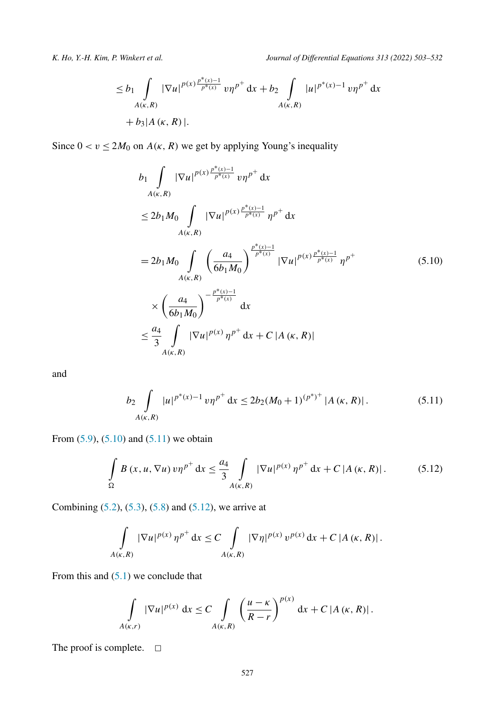<span id="page-24-0"></span>

$$
\leq b_1 \int_{A(\kappa,R)} |\nabla u|^{p(x) \frac{p^*(x)-1}{p^*(x)}} v \eta^{p^+} dx + b_2 \int_{A(\kappa,R)} |u|^{p^*(x)-1} v \eta^{p^+} dx + b_3 |A(\kappa,R)|.
$$

Since  $0 < v \le 2M_0$  on  $A(\kappa, R)$  we get by applying Young's inequality

$$
b_{1} \int_{A(\kappa,R)} |\nabla u|^{p(x) \frac{p^{*}(x)-1}{p^{*}(x)}} v \eta^{p^{+}} dx
$$
  
\n
$$
\leq 2b_{1} M_{0} \int_{A(\kappa,R)} |\nabla u|^{p(x) \frac{p^{*}(x)-1}{p^{*}(x)}} \eta^{p^{+}} dx
$$
  
\n
$$
= 2b_{1} M_{0} \int_{A(\kappa,R)} \left( \frac{a_{4}}{6b_{1} M_{0}} \right)^{\frac{p^{*}(x)-1}{p^{*}(x)}} |\nabla u|^{p(x) \frac{p^{*}(x)-1}{p^{*}(x)}} \eta^{p^{+}}
$$
  
\n
$$
\times \left( \frac{a_{4}}{6b_{1} M_{0}} \right)^{-\frac{p^{*}(x)-1}{p^{*}(x)}} dx
$$
  
\n
$$
\leq \frac{a_{4}}{3} \int_{A(\kappa,R)} |\nabla u|^{p(x)} \eta^{p^{+}} dx + C |A(\kappa,R)|
$$

and

$$
b_2 \int\limits_{A(\kappa,R)} |u|^{p^*(x)-1} \, v \eta^{p^+} \, \mathrm{d}x \le 2b_2 (M_0+1)^{(p^*)^+} \, |A(\kappa,R)| \,. \tag{5.11}
$$

From [\(5.9](#page-23-0)), (5.10) and (5.11) we obtain

$$
\int_{\Omega} B(x, u, \nabla u) v \eta^{p^+} dx \le \frac{a_4}{3} \int_{A(\kappa, R)} |\nabla u|^{p(x)} \eta^{p^+} dx + C |A(\kappa, R)|. \tag{5.12}
$$

Combining [\(5.2\)](#page-22-0), [\(5.3\)](#page-22-0), [\(5.8\)](#page-23-0) and (5.12), we arrive at

$$
\int_{A(\kappa,R)} |\nabla u|^{p(x)} \, \eta^{p^+} \, \mathrm{d}x \leq C \int_{A(\kappa,R)} |\nabla \eta|^{p(x)} \, v^{p(x)} \, \mathrm{d}x + C |A(\kappa,R)| \, .
$$

From this and ([5.1](#page-21-0)) we conclude that

$$
\int\limits_{A(\kappa,r)} |\nabla u|^{p(x)} dx \leq C \int\limits_{A(\kappa,R)} \left(\frac{u-\kappa}{R-r}\right)^{p(x)} dx + C |A(\kappa,R)|.
$$

The proof is complete.  $\Box$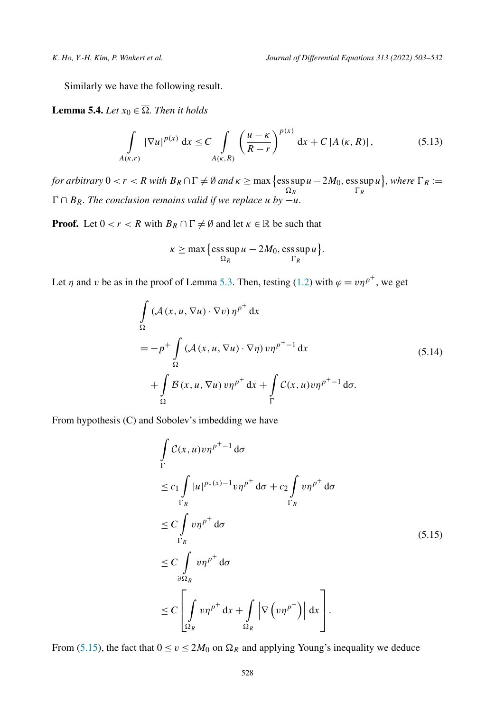<span id="page-25-0"></span>Similarly we have the following result.

**Lemma 5.4.** *Let*  $x_0 \in \overline{\Omega}$ *. Then it holds* 

$$
\int_{A(\kappa,r)} |\nabla u|^{p(x)} dx \le C \int_{A(\kappa,R)} \left(\frac{u-\kappa}{R-r}\right)^{p(x)} dx + C |A(\kappa,R)|,
$$
\n(5.13)

*for arbitrary*  $0 < r < R$  *with*  $B_R \cap \Gamma \neq \emptyset$  *and*  $\kappa \geq \max \{ \mathrm{ess \, sup \, } u - 2M_0, \mathrm{ess \, sup \, } u \}$ , *where*  $\Gamma_R :=$  $\Omega_R$ *R*  $\Gamma$ ∩  $B_R$ *. The conclusion remains valid if we replace <i>u by* −*u.* 

**Proof.** Let  $0 < r < R$  with  $B_R \cap \Gamma \neq \emptyset$  and let  $\kappa \in \mathbb{R}$  be such that

$$
\kappa \ge \max\left\{\operatorname{ess} \sup_{\Omega_R} u - 2M_0, \operatorname{ess} \sup_{\Gamma_R} u\right\}.
$$

Let  $\eta$  and  $\nu$  be as in the proof of Lemma [5.3](#page-21-0). Then, testing ([1.2](#page-1-0)) with  $\varphi = \nu \eta^{p^+}$ , we get

$$
\int_{\Omega} (\mathcal{A}(x, u, \nabla u) \cdot \nabla v) \eta^{p^+} dx
$$
\n
$$
= -p^+ \int_{\Omega} (\mathcal{A}(x, u, \nabla u) \cdot \nabla \eta) v \eta^{p^+-1} dx
$$
\n
$$
+ \int_{\Omega} \mathcal{B}(x, u, \nabla u) v \eta^{p^+} dx + \int_{\Gamma} \mathcal{C}(x, u) v \eta^{p^+-1} d\sigma.
$$
\n(5.14)

From hypothesis (C) and Sobolev's imbedding we have

$$
\int_{\Gamma} C(x, u) v \eta^{p^{+}-1} d\sigma
$$
\n
$$
\leq c_1 \int_{\Gamma_R} |u|^{p_{*}(x)-1} v \eta^{p^{+}} d\sigma + c_2 \int_{\Gamma_R} v \eta^{p^{+}} d\sigma
$$
\n
$$
\leq C \int_{\Gamma_R} v \eta^{p^{+}} d\sigma
$$
\n
$$
\leq C \int_{\partial \Omega_R} v \eta^{p^{+}} d\sigma
$$
\n
$$
\leq C \int_{\Omega_R} v \eta^{p^{+}} d\sigma + \int_{\Omega_R} |\nabla (v \eta^{p^{+}})| dx.
$$
\n(5.15)

From (5.15), the fact that  $0 \le v \le 2M_0$  on  $\Omega_R$  and applying Young's inequality we deduce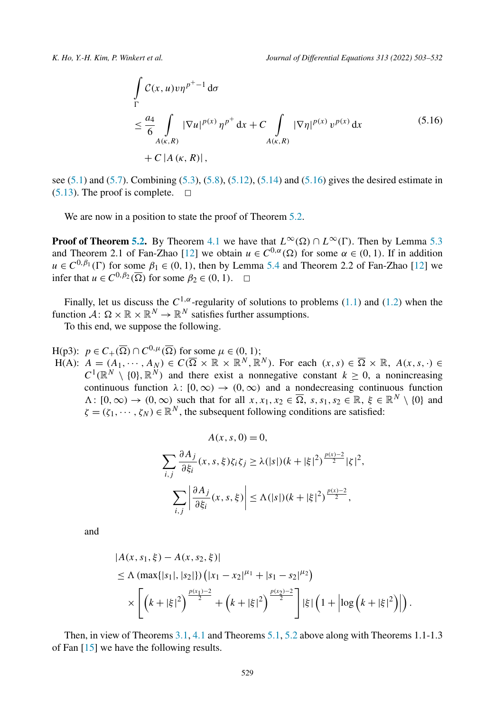$$
\int_{\Gamma} C(x, u) v \eta^{p^+ - 1} d\sigma
$$
\n
$$
\leq \frac{a_4}{6} \int_{A(\kappa, R)} |\nabla u|^{p(x)} \eta^{p^+} dx + C \int_{A(\kappa, R)} |\nabla \eta|^{p(x)} v^{p(x)} dx
$$
\n
$$
+ C |A(\kappa, R)|,
$$
\n(5.16)

see ([5.1](#page-21-0)) and [\(5.7\)](#page-23-0). Combining [\(5.3\)](#page-22-0), [\(5.8\)](#page-23-0), [\(5.12\)](#page-24-0), [\(5.14](#page-25-0)) and (5.16) gives the desired estimate in  $(5.13)$  $(5.13)$  $(5.13)$ . The proof is complete.  $\Box$ 

We are now in a position to state the proof of Theorem [5.2](#page-21-0).

**Proof of Theorem [5.2](#page-21-0).** By Theorem [4.1](#page-15-0) we have that  $L^{\infty}(\Omega) \cap L^{\infty}(\Gamma)$ . Then by Lemma [5.3](#page-21-0) and Theorem 2.1 of Fan-Zhao [\[12](#page-27-0)] we obtain  $u \in C^{0,\alpha}(\Omega)$  for some  $\alpha \in (0,1)$ . If in addition  $u \in C^{0,\beta_1}(\Gamma)$  for some  $\beta_1 \in (0,1)$ , then by Lemma [5.4](#page-25-0) and Theorem 2.2 of Fan-Zhao [\[12](#page-27-0)] we infer that  $u \in C^{0, \beta_2}(\overline{\Omega})$  for some  $\beta_2 \in (0, 1)$ .  $\Box$ 

Finally, let us discuss the *C*1*,α*-regularity of solutions to problems [\(1.1](#page-1-0)) and [\(1.2\)](#page-1-0) when the function  $\mathcal{A}: \Omega \times \mathbb{R} \times \mathbb{R}^N \to \mathbb{R}^N$  satisfies further assumptions.

To this end, we suppose the following.

 $H(p3)$ :  $p \in C_+(\overline{\Omega}) \cap C^{0,\mu}(\overline{\Omega})$  for some  $\mu \in (0,1)$ ;  $H(A):$   $A = (A_1, \dots, A_N) \in C(\overline{\Omega} \times \mathbb{R} \times \mathbb{R}^N, \mathbb{R}^N)$ . For each  $(x, s) \in \overline{\Omega} \times \mathbb{R}$ ,  $A(x, s, \cdot) \in$  $C^1(\mathbb{R}^N \setminus \{0\}, \mathbb{R}^N)$  and there exist a nonnegative constant  $k \geq 0$ , a nonincreasing continuous function  $\lambda: [0, \infty) \to (0, \infty)$  and a nondecreasing continuous function  $\Lambda: [0, \infty) \to (0, \infty)$  such that for all  $x, x_1, x_2 \in \overline{\Omega}$ ,  $s, s_1, s_2 \in \mathbb{R}$ ,  $\xi \in \mathbb{R}^N \setminus \{0\}$  and  $\zeta = (\zeta_1, \dots, \zeta_N) \in \mathbb{R}^N$ , the subsequent following conditions are satisfied:

$$
A(x, s, 0) = 0,
$$
  

$$
\sum_{i,j} \frac{\partial A_j}{\partial \xi_i}(x, s, \xi) \zeta_i \zeta_j \ge \lambda(|s|)(k + |\xi|^2)^{\frac{p(x) - 2}{2}} |\zeta|^2,
$$
  

$$
\sum_{i,j} \left| \frac{\partial A_j}{\partial \xi_i}(x, s, \xi) \right| \le \Lambda(|s|)(k + |\xi|^2)^{\frac{p(x) - 2}{2}},
$$

and

$$
|A(x, s_1, \xi) - A(x, s_2, \xi)|
$$
  
\n
$$
\leq \Lambda \left( \max\{|s_1|, |s_2|\} \right) \left( |x_1 - x_2|^{\mu_1} + |s_1 - s_2|^{\mu_2} \right)
$$
  
\n
$$
\times \left[ \left( k + |\xi|^2 \right)^{\frac{p(x_1) - 2}{2}} + \left( k + |\xi|^2 \right)^{\frac{p(x_2) - 2}{2}} \right] |\xi| \left( 1 + \left| \log \left( k + |\xi|^2 \right) \right| \right).
$$

Then, in view of Theorems [3.1,](#page-8-0) [4.1](#page-15-0) and Theorems [5.1,](#page-21-0) [5.2](#page-21-0) above along with Theorems 1.1-1.3 of Fan [\[15\]](#page-27-0) we have the following results.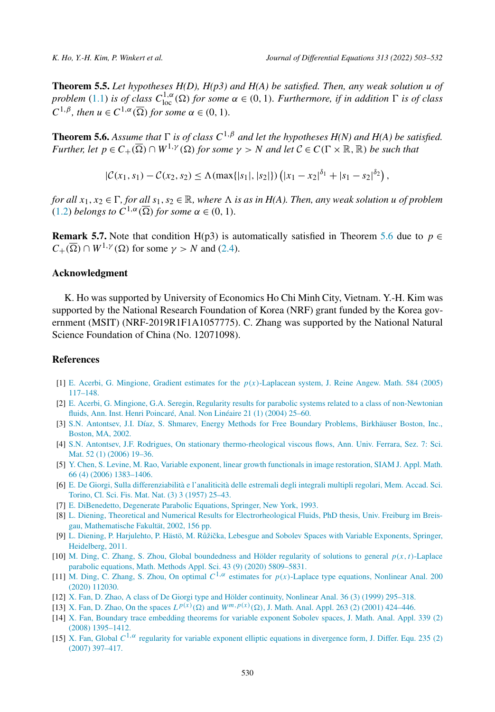<span id="page-27-0"></span>**Theorem 5.5.** *Let hypotheses H(D), H(p3) and H(A) be satisfied. Then, any weak solution u of* problem ([1.1](#page-1-0)) is of class  $C^{1,\alpha}_{loc}(\Omega)$  for some  $\alpha \in (0,1)$ . Furthermore, if in addition  $\Gamma$  is of class  $C^{1,\beta}$ *, then*  $u \in C^{1,\alpha}(\overline{\Omega})$  *for some*  $\alpha \in (0,1)$ *.* 

**Theorem 5.6.** Assume that  $\Gamma$  is of class  $C^{1,\beta}$  and let the hypotheses  $H(N)$  and  $H(A)$  be satisfied. *Further, let*  $p \in C_+(\overline{\Omega}) \cap W^{1,\gamma}(\Omega)$  *for some*  $\gamma > N$  *and let*  $C \in C(\Gamma \times \mathbb{R}, \mathbb{R})$  *be such that* 

 $|\mathcal{C}(x_1, s_1) - \mathcal{C}(x_2, s_2) \le \Lambda(\max\{|s_1|, |s_2|\}) (\left|x_1 - x_2\right|^{\delta_1} + \left|x_1 - s_2\right|^{\delta_2}),$ 

for all  $x_1, x_2 \in \Gamma$ , for all  $s_1, s_2 \in \mathbb{R}$ , where  $\Lambda$  is as in H(A). Then, any weak solution u of problem  $(1.2)$  $(1.2)$  $(1.2)$  *belongs to*  $C^{1,\alpha}(\overline{\Omega})$  *for some*  $\alpha \in (0,1)$ *.* 

**Remark 5.7.** Note that condition H(p3) is automatically satisfied in Theorem 5.6 due to  $p \in$  $C_+(\overline{\Omega}) \cap W^{1,\gamma}(\Omega)$  for some  $\gamma > N$  and [\(2.4\)](#page-7-0).

#### **Acknowledgment**

K. Ho was supported by University of Economics Ho Chi Minh City, Vietnam. Y.-H. Kim was supported by the National Research Foundation of Korea (NRF) grant funded by the Korea government (MSIT) (NRF-2019R1F1A1057775). C. Zhang was supported by the National Natural Science Foundation of China (No. 12071098).

#### **References**

- [1] E. Acerbi, G. Mingione, Gradient estimates for the *p(x)*[-Laplacean](http://refhub.elsevier.com/S0022-0396(22)00010-9/bibE7EF2AAC187A51F75C8A76646F066737s1) system, J. Reine Angew. Math. 584 (2005) [117–148.](http://refhub.elsevier.com/S0022-0396(22)00010-9/bibE7EF2AAC187A51F75C8A76646F066737s1)
- [2] E. Acerbi, G. Mingione, G.A. Seregin, Regularity results for parabolic systems related to a class of [non-Newtonian](http://refhub.elsevier.com/S0022-0396(22)00010-9/bib9FE03057DDFDCF4BE25ECCF1C699B493s1) fluids, Ann. Inst. Henri [Poincaré,](http://refhub.elsevier.com/S0022-0396(22)00010-9/bib9FE03057DDFDCF4BE25ECCF1C699B493s1) Anal. Non Linéaire 21 (1) (2004) 25–60.
- [3] S.N. Antontsev, J.I. Díaz, S. Shmarev, Energy Methods for Free Boundary Problems, [Birkhäuser](http://refhub.elsevier.com/S0022-0396(22)00010-9/bibC52E814C8256766194D02A2D743F7298s1) Boston, Inc., [Boston,](http://refhub.elsevier.com/S0022-0396(22)00010-9/bibC52E814C8256766194D02A2D743F7298s1) MA, 2002.
- [4] S.N. Antontsev, J.F. Rodrigues, On stationary [thermo-rheological](http://refhub.elsevier.com/S0022-0396(22)00010-9/bibA213D689F5B8722A1AC8DB342F20C56Ds1) viscous flows, Ann. Univ. Ferrara, Sez. 7: Sci. Mat. 52 (1) (2006) [19–36.](http://refhub.elsevier.com/S0022-0396(22)00010-9/bibA213D689F5B8722A1AC8DB342F20C56Ds1)
- [5] Y. Chen, S. Levine, M. Rao, Variable exponent, linear growth functionals in image [restoration,](http://refhub.elsevier.com/S0022-0396(22)00010-9/bib35D7029D0CD0D03017D35D43C35541BDs1) SIAM J. Appl. Math. 66 (4) (2006) [1383–1406.](http://refhub.elsevier.com/S0022-0396(22)00010-9/bib35D7029D0CD0D03017D35D43C35541BDs1)
- [6] E. De Giorgi, Sulla [differenziabilità](http://refhub.elsevier.com/S0022-0396(22)00010-9/bibA94D035EA15A2036D2C817DC4B8F9366s1) e l'analiticità delle estremali degli integrali multipli regolari, Mem. Accad. Sci. [Torino,](http://refhub.elsevier.com/S0022-0396(22)00010-9/bibA94D035EA15A2036D2C817DC4B8F9366s1) Cl. Sci. Fis. Mat. Nat. (3) 3 (1957) 25–43.
- [7] E. [DiBenedetto,](http://refhub.elsevier.com/S0022-0396(22)00010-9/bibA0EB3C38173707A24780722057822D0As1) Degenerate Parabolic Equations, Springer, New York, 1993.
- [8] L. Diening, Theoretical and Numerical Results for [Electrorheological](http://refhub.elsevier.com/S0022-0396(22)00010-9/bibF7287662B74E77FD330BCDC9AA39AACBs1) Fluids, PhD thesis, Univ. Freiburg im Breisgau, [Mathematische](http://refhub.elsevier.com/S0022-0396(22)00010-9/bibF7287662B74E77FD330BCDC9AA39AACBs1) Fakultät, 2002, 156 pp.
- [9] L. Diening, P. [Harjulehto,](http://refhub.elsevier.com/S0022-0396(22)00010-9/bibC21FFE7D966412508583814423B67615s1) P. Hästö, M. Růžička, Lebesgue and Sobolev Spaces with Variable Exponents, Springer, [Heidelberg,](http://refhub.elsevier.com/S0022-0396(22)00010-9/bibC21FFE7D966412508583814423B67615s1) 2011.
- [10] M. Ding, C. Zhang, S. Zhou, Global [boundedness](http://refhub.elsevier.com/S0022-0396(22)00010-9/bib63BE6C006A5232C50FC66527815EF047s1) and Hölder regularity of solutions to general *p(x,t)*-Laplace parabolic equations, Math. Methods Appl. Sci. 43 (9) (2020) [5809–5831.](http://refhub.elsevier.com/S0022-0396(22)00010-9/bib63BE6C006A5232C50FC66527815EF047s1)
- [11] M. Ding, C. Zhang, S. Zhou, On optimal *C*1*,α* estimates for *p(x)*-Laplace type [equations,](http://refhub.elsevier.com/S0022-0396(22)00010-9/bib3AB63CE4329E62354637E8531B9E1543s1) Nonlinear Anal. 200 (2020) [112030.](http://refhub.elsevier.com/S0022-0396(22)00010-9/bib3AB63CE4329E62354637E8531B9E1543s1)
- [12] X. Fan, D. Zhao, A class of De Giorgi type and Hölder [continuity,](http://refhub.elsevier.com/S0022-0396(22)00010-9/bib79DE4C35070AFFE1B79E86C596AA7D9Ds1) Nonlinear Anal. 36 (3) (1999) 295–318.
- [13] X. Fan, D. Zhao, On the spaces  $L^{p(x)}(\Omega)$  and  $W^{m,p(x)}(\Omega)$ , J. Math. Anal. Appl. 263 (2) (2001) 424–446.
- [14] X. Fan, Boundary trace [embedding](http://refhub.elsevier.com/S0022-0396(22)00010-9/bibA907FE92443BFA148AF95263C946074Ds1) theorems for variable exponent Sobolev spaces, J. Math. Anal. Appl. 339 (2) (2008) [1395–1412.](http://refhub.elsevier.com/S0022-0396(22)00010-9/bibA907FE92443BFA148AF95263C946074Ds1)
- [15] X. Fan, Global  $C^{1,\alpha}$  regularity for variable exponent elliptic equations in [divergence](http://refhub.elsevier.com/S0022-0396(22)00010-9/bibD28DB405684343FE04058DCAE708D3EAs1) form, J. Differ. Equ. 235 (2) (2007) [397–417.](http://refhub.elsevier.com/S0022-0396(22)00010-9/bibD28DB405684343FE04058DCAE708D3EAs1)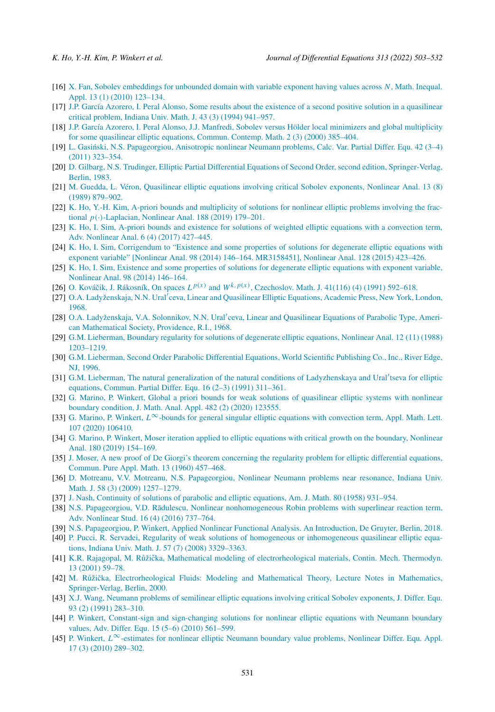- <span id="page-28-0"></span>[16] X. Fan, Sobolev [embeddings](http://refhub.elsevier.com/S0022-0396(22)00010-9/bibBCB0E5D3513E60B0E6A1E342E81BAFB1s1) for unbounded domain with variable exponent having values across *N*, Math. Inequal. Appl. 13 (1) (2010) [123–134.](http://refhub.elsevier.com/S0022-0396(22)00010-9/bibBCB0E5D3513E60B0E6A1E342E81BAFB1s1)
- [17] J.P. García Azorero, I. Peral Alonso, Some results about the existence of a second positive solution in a [quasilinear](http://refhub.elsevier.com/S0022-0396(22)00010-9/bib824C5167DD6946FCC1D401ACDB5F51F5s1) critical problem, Indiana Univ. Math. J. 43 (3) (1994) [941–957.](http://refhub.elsevier.com/S0022-0396(22)00010-9/bib824C5167DD6946FCC1D401ACDB5F51F5s1)
- [18] J.P. García Azorero, I. Peral Alonso, J.J. Manfredi, Sobolev versus Hölder local minimizers and global [multiplicity](http://refhub.elsevier.com/S0022-0396(22)00010-9/bibE4A27E80A654B587DAE009A4FD454D89s1) for some [quasilinear](http://refhub.elsevier.com/S0022-0396(22)00010-9/bibE4A27E80A654B587DAE009A4FD454D89s1) elliptic equations, Commun. Contemp. Math. 2 (3) (2000) 385–404.
- [19] L. Gasiński, N.S. [Papageorgiou,](http://refhub.elsevier.com/S0022-0396(22)00010-9/bib69E506C70DAB0E3FC1CAD02B76B351BCs1) Anisotropic nonlinear Neumann problems, Calc. Var. Partial Differ. Equ. 42 (3–4) (2011) [323–354.](http://refhub.elsevier.com/S0022-0396(22)00010-9/bib69E506C70DAB0E3FC1CAD02B76B351BCs1)
- [20] D. Gilbarg, N.S. Trudinger, Elliptic Partial Differential Equations of Second Order, second edition, [Springer-Verlag,](http://refhub.elsevier.com/S0022-0396(22)00010-9/bibFA1634264DC364BEB2F6E0859D3BA1A0s1) [Berlin,](http://refhub.elsevier.com/S0022-0396(22)00010-9/bibFA1634264DC364BEB2F6E0859D3BA1A0s1) 1983.
- [21] M. Guedda, L. Véron, [Quasilinear](http://refhub.elsevier.com/S0022-0396(22)00010-9/bib1F8CACA53763D4373FF7B05631BC63E0s1) elliptic equations involving critical Sobolev exponents, Nonlinear Anal. 13 (8) (1989) [879–902.](http://refhub.elsevier.com/S0022-0396(22)00010-9/bib1F8CACA53763D4373FF7B05631BC63E0s1)
- [22] K. Ho, Y.-H. Kim, A-priori bounds and [multiplicity](http://refhub.elsevier.com/S0022-0396(22)00010-9/bib825DEDE7F377D89B14270C64F0D5B4CFs1) of solutions for nonlinear elliptic problems involving the fractional *p(*·*)*[-Laplacian,](http://refhub.elsevier.com/S0022-0396(22)00010-9/bib825DEDE7F377D89B14270C64F0D5B4CFs1) Nonlinear Anal. 188 (2019) 179–201.
- [23] K. Ho, I. Sim, A-priori bounds and existence for solutions of weighted elliptic equations with a [convection](http://refhub.elsevier.com/S0022-0396(22)00010-9/bib1A5FE2FEBDDD74D9A958F5EBD67566E7s1) term, Adv. [Nonlinear](http://refhub.elsevier.com/S0022-0396(22)00010-9/bib1A5FE2FEBDDD74D9A958F5EBD67566E7s1) Anal. 6 (4) (2017) 427–445.
- [24] K. Ho, I. Sim, [Corrigendum](http://refhub.elsevier.com/S0022-0396(22)00010-9/bib6A560F095460583D30F9AC1ACC5F98DDs1) to "Existence and some properties of solutions for degenerate elliptic equations with exponent variable" [Nonlinear Anal. 98 (2014) 146–164. [MR3158451\],](http://refhub.elsevier.com/S0022-0396(22)00010-9/bib6A560F095460583D30F9AC1ACC5F98DDs1) Nonlinear Anal. 128 (2015) 423–426.
- [25] K. Ho, I. Sim, Existence and some properties of solutions for [degenerate](http://refhub.elsevier.com/S0022-0396(22)00010-9/bib6F1AD7B6AC445F2D7A27A65813D22601s1) elliptic equations with exponent variable, [Nonlinear](http://refhub.elsevier.com/S0022-0396(22)00010-9/bib6F1AD7B6AC445F2D7A27A65813D22601s1) Anal. 98 (2014) 146–164.
- [26] O. Kováčik, J. Rákosník, On spaces  $L^{p(x)}$  and  $W^{k,p(x)}$ , [Czechoslov.](http://refhub.elsevier.com/S0022-0396(22)00010-9/bibE1865384F39448D4FF08B35B51B7B332s1) Math. J. 41(116) (4) (1991) 592–618.
- [27] O.A. [Ladyženskaja,](http://refhub.elsevier.com/S0022-0396(22)00010-9/bibBECBA8A3B442A9D95E0ED4FC25FF55EEs1) N.N. Ural<sup>7</sup>ceva, Linear and Quasilinear Elliptic Equations, Academic Press, New York, London, [1968.](http://refhub.elsevier.com/S0022-0396(22)00010-9/bibBECBA8A3B442A9D95E0ED4FC25FF55EEs1)
- [28] O.A. [Ladyženskaja,](http://refhub.elsevier.com/S0022-0396(22)00010-9/bibE1753FD3BA1BD6408D04BDBF32656B0Cs1) V.A. Solonnikov, N.N. Ural'ceva, Linear and Quasilinear Equations of Parabolic Type, American [Mathematical](http://refhub.elsevier.com/S0022-0396(22)00010-9/bibE1753FD3BA1BD6408D04BDBF32656B0Cs1) Society, Providence, R.I., 1968.
- [29] G.M. [Lieberman,](http://refhub.elsevier.com/S0022-0396(22)00010-9/bib1E6E6889044D753D0DA6E1F5DC16C6C8s1) Boundary regularity for solutions of degenerate elliptic equations, Nonlinear Anal. 12 (11) (1988) [1203–1219.](http://refhub.elsevier.com/S0022-0396(22)00010-9/bib1E6E6889044D753D0DA6E1F5DC16C6C8s1)
- [30] G.M. Lieberman, Second Order Parabolic [Differential](http://refhub.elsevier.com/S0022-0396(22)00010-9/bib1DF0F6CB88B87A5DAC33C50BF1503725s1) Equations, World Scientific Publishing Co., Inc., River Edge, NJ, [1996.](http://refhub.elsevier.com/S0022-0396(22)00010-9/bib1DF0F6CB88B87A5DAC33C50BF1503725s1)
- [31] G.M. Lieberman, The natural generalization of the natural conditions of [Ladyzhenskaya](http://refhub.elsevier.com/S0022-0396(22)00010-9/bib0B6C4042FDA4D2E8A83A24047D8860B8s1) and Ural'tseva for elliptic [equations,](http://refhub.elsevier.com/S0022-0396(22)00010-9/bib0B6C4042FDA4D2E8A83A24047D8860B8s1) Commun. Partial Differ. Equ. 16 (2–3) (1991) 311–361.
- [32] G. Marino, P. Winkert, Global a priori bounds for weak solutions of [quasilinear](http://refhub.elsevier.com/S0022-0396(22)00010-9/bib7A2B2C8046EBDCB22855DB28D2BD573Es1) elliptic systems with nonlinear boundary [condition,](http://refhub.elsevier.com/S0022-0396(22)00010-9/bib7A2B2C8046EBDCB22855DB28D2BD573Es1) J. Math. Anal. Appl. 482 (2) (2020) 123555.
- [33] G. Marino, P. Winkert, *L*∞-bounds for general singular elliptic equations with [convection](http://refhub.elsevier.com/S0022-0396(22)00010-9/bibDCA2358CD24380268D418777B0840CA0s1) term, Appl. Math. Lett. 107 (2020) [106410.](http://refhub.elsevier.com/S0022-0396(22)00010-9/bibDCA2358CD24380268D418777B0840CA0s1)
- [34] G. Marino, P. Winkert, Moser iteration applied to elliptic equations with critical growth on the [boundary,](http://refhub.elsevier.com/S0022-0396(22)00010-9/bibFD5E7A2E173B04DC2ACA4B6690FCF86Fs1) Nonlinear Anal. 180 (2019) [154–169.](http://refhub.elsevier.com/S0022-0396(22)00010-9/bibFD5E7A2E173B04DC2ACA4B6690FCF86Fs1)
- [35] J. Moser, A new proof of De Giorgi's theorem [concerning](http://refhub.elsevier.com/S0022-0396(22)00010-9/bibA8CCA837D44D5F209E4BB069BB9BA4D1s1) the regularity problem for elliptic differential equations, [Commun.](http://refhub.elsevier.com/S0022-0396(22)00010-9/bibA8CCA837D44D5F209E4BB069BB9BA4D1s1) Pure Appl. Math. 13 (1960) 457–468.
- [36] D. Motreanu, V.V. Motreanu, N.S. [Papageorgiou,](http://refhub.elsevier.com/S0022-0396(22)00010-9/bibF61679880D272FB39190175BB833E13Cs1) Nonlinear Neumann problems near resonance, Indiana Univ. Math. J. 58 (3) (2009) [1257–1279.](http://refhub.elsevier.com/S0022-0396(22)00010-9/bibF61679880D272FB39190175BB833E13Cs1)
- [37] J. Nash, [Continuity](http://refhub.elsevier.com/S0022-0396(22)00010-9/bib30E41B24DE95C1E8AF43F75DDCBC2CD1s1) of solutions of parabolic and elliptic equations, Am. J. Math. 80 (1958) 931–954.
- [38] N.S. Papageorgiou, V.D. Rădulescu, Nonlinear [nonhomogeneous](http://refhub.elsevier.com/S0022-0396(22)00010-9/bibE2578FE60208868F4255246B8EB267E0s1) Robin problems with superlinear reaction term, Adv. [Nonlinear](http://refhub.elsevier.com/S0022-0396(22)00010-9/bibE2578FE60208868F4255246B8EB267E0s1) Stud. 16 (4) (2016) 737–764.
- [39] N.S. [Papageorgiou,](http://refhub.elsevier.com/S0022-0396(22)00010-9/bibE7592120B146B445567C25E998B59E37s1) P. Winkert, Applied Nonlinear Functional Analysis. An Introduction, De Gruyter, Berlin, 2018.
- [40] P. Pucci, R. Servadei, Regularity of weak solutions of homogeneous or [inhomogeneous](http://refhub.elsevier.com/S0022-0396(22)00010-9/bib5A0F5F81C9EA878CF44AF38A14225981s1) quasilinear elliptic equations, Indiana Univ. Math. J. 57 (7) (2008) [3329–3363.](http://refhub.elsevier.com/S0022-0396(22)00010-9/bib5A0F5F81C9EA878CF44AF38A14225981s1)
- [41] K.R. Rajagopal, M. Růžička, Mathematical modeling of [electrorheological](http://refhub.elsevier.com/S0022-0396(22)00010-9/bib88D216FA4B473A62F5FAF1B5B4A3A83As1) materials, Contin. Mech. Thermodyn. 13 (2001) [59–78.](http://refhub.elsevier.com/S0022-0396(22)00010-9/bib88D216FA4B473A62F5FAF1B5B4A3A83As1)
- [42] M. Růžička, [Electrorheological](http://refhub.elsevier.com/S0022-0396(22)00010-9/bib115232B57713DEABB637472E4B7B2EE1s1) Fluids: Modeling and Mathematical Theory, Lecture Notes in Mathematics, [Springer-Verlag,](http://refhub.elsevier.com/S0022-0396(22)00010-9/bib115232B57713DEABB637472E4B7B2EE1s1) Berlin, 2000.
- [43] X.J. Wang, Neumann problems of semilinear elliptic equations involving critical Sobolev [exponents,](http://refhub.elsevier.com/S0022-0396(22)00010-9/bib7748F022323A6C43694640F95F7E86AEs1) J. Differ. Equ. 93 (2) (1991) [283–310.](http://refhub.elsevier.com/S0022-0396(22)00010-9/bib7748F022323A6C43694640F95F7E86AEs1)
- [44] P. Winkert, Constant-sign and [sign-changing](http://refhub.elsevier.com/S0022-0396(22)00010-9/bib3776EBAE4BF46813B7DE08521CF68A59s1) solutions for nonlinear elliptic equations with Neumann boundary values, Adv. Differ. Equ. 15 (5–6) (2010) [561–599.](http://refhub.elsevier.com/S0022-0396(22)00010-9/bib3776EBAE4BF46813B7DE08521CF68A59s1)
- [45] P. Winkert, *L*∞[-estimates](http://refhub.elsevier.com/S0022-0396(22)00010-9/bib82CA8703092F7DAD08D8441C97A89A8Ds1) for nonlinear elliptic Neumann boundary value problems, Nonlinear Differ. Equ. Appl. 17 (3) (2010) [289–302.](http://refhub.elsevier.com/S0022-0396(22)00010-9/bib82CA8703092F7DAD08D8441C97A89A8Ds1)